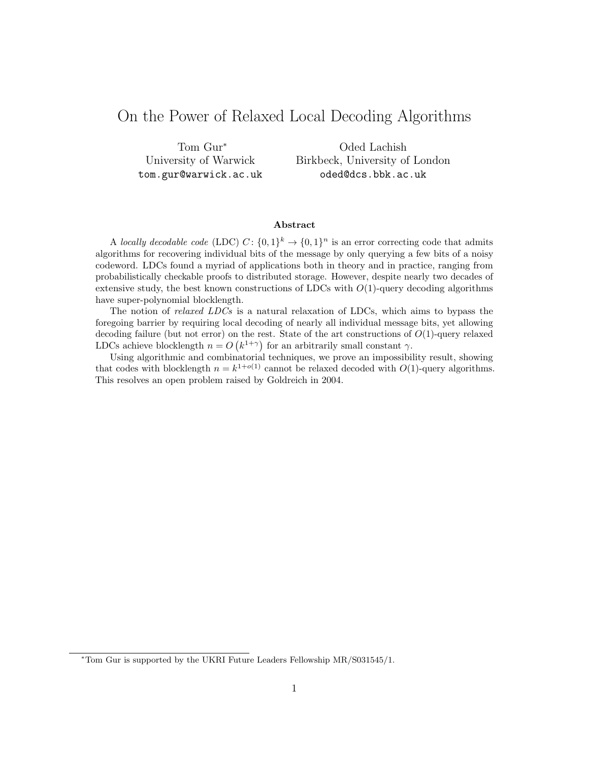# On the Power of Relaxed Local Decoding Algorithms

Tom Gur<sup>∗</sup> University of Warwick tom.gur@warwick.ac.uk

Oded Lachish Birkbeck, University of London oded@dcs.bbk.ac.uk

#### Abstract

A locally decodable code (LDC)  $C: \{0,1\}^k \to \{0,1\}^n$  is an error correcting code that admits algorithms for recovering individual bits of the message by only querying a few bits of a noisy codeword. LDCs found a myriad of applications both in theory and in practice, ranging from probabilistically checkable proofs to distributed storage. However, despite nearly two decades of extensive study, the best known constructions of LDCs with  $O(1)$ -query decoding algorithms have super-polynomial blocklength.

The notion of relaxed LDCs is a natural relaxation of LDCs, which aims to bypass the foregoing barrier by requiring local decoding of nearly all individual message bits, yet allowing decoding failure (but not error) on the rest. State of the art constructions of  $O(1)$ -query relaxed LDCs achieve blocklength  $n = O(k^{1+\gamma})$  for an arbitrarily small constant  $\gamma$ .

Using algorithmic and combinatorial techniques, we prove an impossibility result, showing that codes with blocklength  $n = k^{1+o(1)}$  cannot be relaxed decoded with  $O(1)$ -query algorithms. This resolves an open problem raised by Goldreich in 2004.

<sup>∗</sup>Tom Gur is supported by the UKRI Future Leaders Fellowship MR/S031545/1.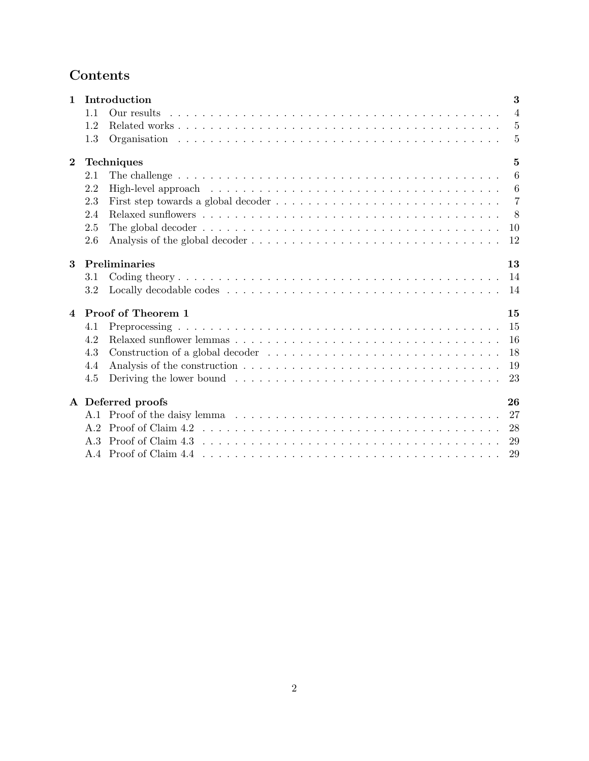# Contents

| $\mathbf{1}$   | Introduction<br>3            |                                                                                                                                                                                                                                |                |  |
|----------------|------------------------------|--------------------------------------------------------------------------------------------------------------------------------------------------------------------------------------------------------------------------------|----------------|--|
|                | 1.1                          |                                                                                                                                                                                                                                | $\overline{4}$ |  |
|                | 1.2                          |                                                                                                                                                                                                                                | $\overline{5}$ |  |
|                | 1.3                          |                                                                                                                                                                                                                                | 5              |  |
| $\overline{2}$ | $\overline{5}$<br>Techniques |                                                                                                                                                                                                                                |                |  |
|                | 2.1                          |                                                                                                                                                                                                                                | 6              |  |
|                | 2.2                          | High-level approach is a series and series and series are series and series are series and series are series and series are series and series are series and series are series and series are series and series are series and | 6              |  |
|                | 2.3                          | First step towards a global decoder $\dots \dots \dots \dots \dots \dots \dots \dots \dots \dots \dots \dots$                                                                                                                  | $\overline{7}$ |  |
|                | 2.4                          |                                                                                                                                                                                                                                | 8              |  |
|                | 2.5                          | The global decoder $\dots \dots \dots \dots \dots \dots \dots \dots \dots \dots \dots \dots \dots \dots \dots$<br>10                                                                                                           |                |  |
|                | 2.6                          | 12                                                                                                                                                                                                                             |                |  |
| 3              | Preliminaries<br>13          |                                                                                                                                                                                                                                |                |  |
|                | 3.1                          | 14                                                                                                                                                                                                                             |                |  |
|                | 3.2                          | 14                                                                                                                                                                                                                             |                |  |
| $\overline{4}$ |                              | Proof of Theorem 1<br>15                                                                                                                                                                                                       |                |  |
|                | 4.1                          | 15                                                                                                                                                                                                                             |                |  |
|                | 4.2                          | 16                                                                                                                                                                                                                             |                |  |
|                | 4.3                          | 18                                                                                                                                                                                                                             |                |  |
|                | 4.4                          | 19                                                                                                                                                                                                                             |                |  |
|                | 4.5                          | 23                                                                                                                                                                                                                             |                |  |
|                | 26<br>A Deferred proofs      |                                                                                                                                                                                                                                |                |  |
|                |                              | 27                                                                                                                                                                                                                             |                |  |
|                |                              | 28                                                                                                                                                                                                                             |                |  |
|                | A $\overline{3}$             | -29                                                                                                                                                                                                                            |                |  |
|                |                              | 29                                                                                                                                                                                                                             |                |  |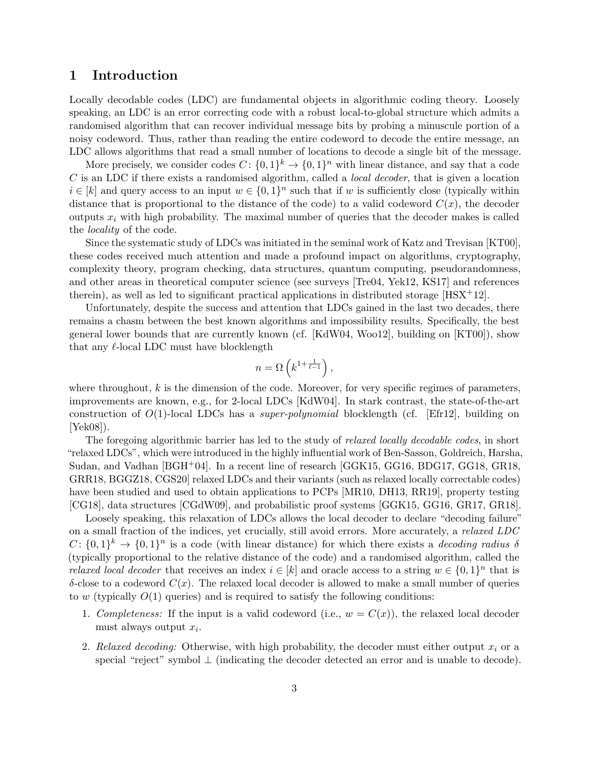# 1 Introduction

Locally decodable codes (LDC) are fundamental objects in algorithmic coding theory. Loosely speaking, an LDC is an error correcting code with a robust local-to-global structure which admits a randomised algorithm that can recover individual message bits by probing a minuscule portion of a noisy codeword. Thus, rather than reading the entire codeword to decode the entire message, an LDC allows algorithms that read a small number of locations to decode a single bit of the message.

More precisely, we consider codes  $C: \{0,1\}^k \to \{0,1\}^n$  with linear distance, and say that a code  $C$  is an LDC if there exists a randomised algorithm, called a *local decoder*, that is given a location  $i \in [k]$  and query access to an input  $w \in \{0,1\}^n$  such that if w is sufficiently close (typically within distance that is proportional to the distance of the code) to a valid codeword  $C(x)$ , the decoder outputs  $x_i$  with high probability. The maximal number of queries that the decoder makes is called the locality of the code.

Since the systematic study of LDCs was initiated in the seminal work of Katz and Trevisan [KT00], these codes received much attention and made a profound impact on algorithms, cryptography, complexity theory, program checking, data structures, quantum computing, pseudorandomness, and other areas in theoretical computer science (see surveys [Tre04, Yek12, KS17] and references therein), as well as led to significant practical applications in distributed storage  $[**HSX**<sup>+</sup>**12**].$ 

Unfortunately, despite the success and attention that LDCs gained in the last two decades, there remains a chasm between the best known algorithms and impossibility results. Specifically, the best general lower bounds that are currently known (cf. [KdW04, Woo12], building on [KT00]), show that any  $\ell$ -local LDC must have blocklength

$$
n = \Omega\left(k^{1 + \frac{1}{\ell - 1}}\right),\,
$$

where throughout,  $k$  is the dimension of the code. Moreover, for very specific regimes of parameters, improvements are known, e.g., for 2-local LDCs [KdW04]. In stark contrast, the state-of-the-art construction of  $O(1)$ -local LDCs has a *super-polynomial* blocklength (cf. [Efr12], building on [Yek08]).

The foregoing algorithmic barrier has led to the study of *relaxed locally decodable codes*, in short "relaxed LDCs", which were introduced in the highly influential work of Ben-Sasson, Goldreich, Harsha, Sudan, and Vadhan [BGH+04]. In a recent line of research [GGK15, GG16, BDG17, GG18, GR18, GRR18, BGGZ18, CGS20] relaxed LDCs and their variants (such as relaxed locally correctable codes) have been studied and used to obtain applications to PCPs [MR10, DH13, RR19], property testing [CG18], data structures [CGdW09], and probabilistic proof systems [GGK15, GG16, GR17, GR18].

Loosely speaking, this relaxation of LDCs allows the local decoder to declare "decoding failure" on a small fraction of the indices, yet crucially, still avoid errors. More accurately, a relaxed LDC  $C: \{0,1\}^k \to \{0,1\}^n$  is a code (with linear distance) for which there exists a *decoding radius*  $\delta$ (typically proportional to the relative distance of the code) and a randomised algorithm, called the *relaxed local decoder* that receives an index  $i \in [k]$  and oracle access to a string  $w \in \{0,1\}^n$  that is  $\delta$ -close to a codeword  $C(x)$ . The relaxed local decoder is allowed to make a small number of queries to w (typically  $O(1)$  queries) and is required to satisfy the following conditions:

- 1. Completeness: If the input is a valid codeword (i.e.,  $w = C(x)$ ), the relaxed local decoder must always output  $x_i$ .
- 2. Relaxed decoding: Otherwise, with high probability, the decoder must either output  $x_i$  or a special "reject" symbol ⊥ (indicating the decoder detected an error and is unable to decode).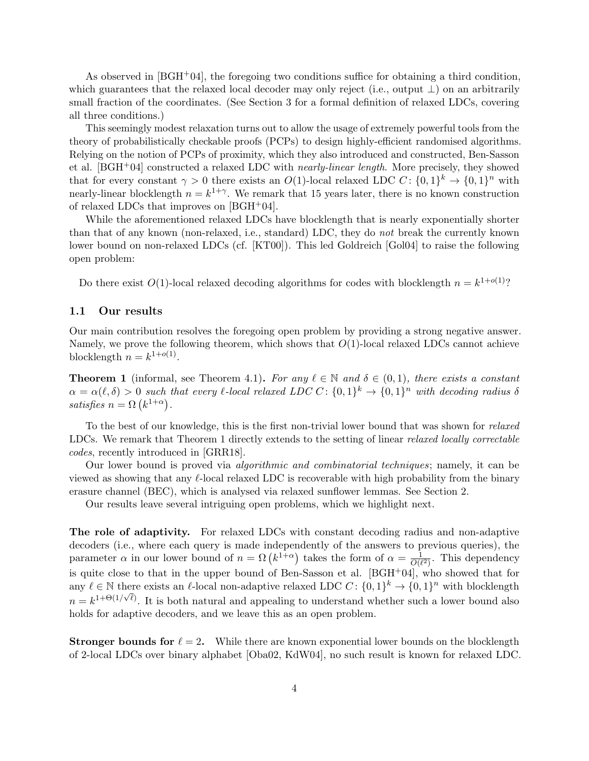As observed in  $[BGH^+04]$ , the foregoing two conditions suffice for obtaining a third condition, which guarantees that the relaxed local decoder may only reject (i.e., output  $\perp$ ) on an arbitrarily small fraction of the coordinates. (See Section 3 for a formal definition of relaxed LDCs, covering all three conditions.)

This seemingly modest relaxation turns out to allow the usage of extremely powerful tools from the theory of probabilistically checkable proofs (PCPs) to design highly-efficient randomised algorithms. Relying on the notion of PCPs of proximity, which they also introduced and constructed, Ben-Sasson et al. [BGH+04] constructed a relaxed LDC with nearly-linear length. More precisely, they showed that for every constant  $\gamma > 0$  there exists an  $O(1)$ -local relaxed LDC  $C: \{0,1\}^k \to \{0,1\}^n$  with nearly-linear blocklength  $n = k^{1+\gamma}$ . We remark that 15 years later, there is no known construction of relaxed LDCs that improves on  $[BGH<sup>+</sup>04]$ .

While the aforementioned relaxed LDCs have blocklength that is nearly exponentially shorter than that of any known (non-relaxed, i.e., standard) LDC, they do not break the currently known lower bound on non-relaxed LDCs (cf. [KT00]). This led Goldreich [Gol04] to raise the following open problem:

Do there exist  $O(1)$ -local relaxed decoding algorithms for codes with blocklength  $n = k^{1+o(1)}$ ?

# 1.1 Our results

Our main contribution resolves the foregoing open problem by providing a strong negative answer. Namely, we prove the following theorem, which shows that  $O(1)$ -local relaxed LDCs cannot achieve blocklength  $n = k^{1+o(1)}$ .

**Theorem 1** (informal, see Theorem 4.1). For any  $\ell \in \mathbb{N}$  and  $\delta \in (0,1)$ , there exists a constant  $\alpha = \alpha(\ell, \delta) > 0$  such that every  $\ell$ -local relaxed LDC C:  $\{0, 1\}^k \to \{0, 1\}^n$  with decoding radius  $\delta$ satisfies  $n = \Omega(k^{1+\alpha}).$ 

To the best of our knowledge, this is the first non-trivial lower bound that was shown for relaxed LDCs. We remark that Theorem 1 directly extends to the setting of linear relaxed locally correctable codes, recently introduced in [GRR18].

Our lower bound is proved via algorithmic and combinatorial techniques; namely, it can be viewed as showing that any  $\ell$ -local relaxed LDC is recoverable with high probability from the binary erasure channel (BEC), which is analysed via relaxed sunflower lemmas. See Section 2.

Our results leave several intriguing open problems, which we highlight next.

The role of adaptivity. For relaxed LDCs with constant decoding radius and non-adaptive decoders (i.e., where each query is made independently of the answers to previous queries), the parameter  $\alpha$  in our lower bound of  $n = \Omega(k^{1+\alpha})$  takes the form of  $\alpha = \frac{1}{\Omega(k)}$  $\frac{1}{O(\ell^2)}$ . This dependency is quite close to that in the upper bound of Ben-Sasson et al. [BGH+04], who showed that for any  $\ell \in \mathbb{N}$  there exists an  $\ell$ -local non-adaptive relaxed LDC  $C: \{0,1\}^k \to \{0,1\}^n$  with blocklength  $n = k^{1+\Theta(1/\sqrt{\ell})}$ . It is both natural and appealing to understand whether such a lower bound also holds for adaptive decoders, and we leave this as an open problem.

**Stronger bounds for**  $\ell = 2$ . While there are known exponential lower bounds on the blocklength of 2-local LDCs over binary alphabet [Oba02, KdW04], no such result is known for relaxed LDC.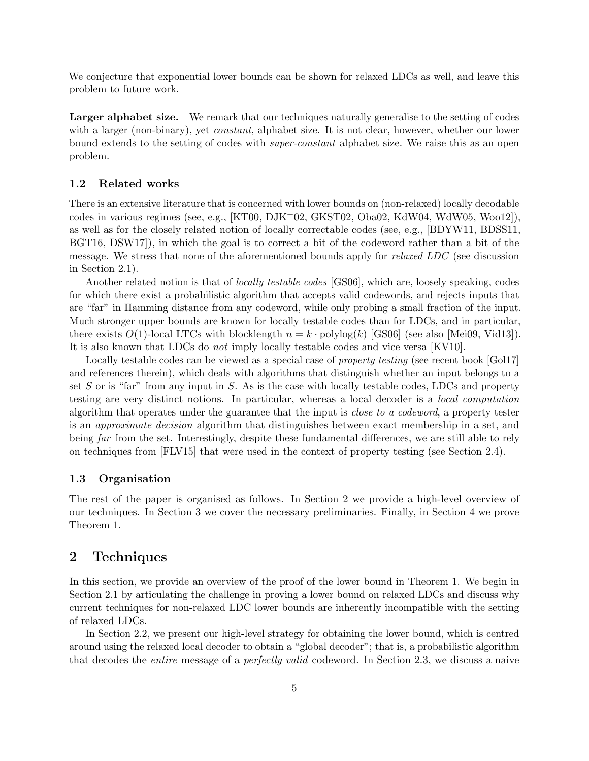We conjecture that exponential lower bounds can be shown for relaxed LDCs as well, and leave this problem to future work.

Larger alphabet size. We remark that our techniques naturally generalise to the setting of codes with a larger (non-binary), yet *constant*, alphabet size. It is not clear, however, whether our lower bound extends to the setting of codes with super-constant alphabet size. We raise this as an open problem.

### 1.2 Related works

There is an extensive literature that is concerned with lower bounds on (non-relaxed) locally decodable codes in various regimes (see, e.g.,  $[KT00, DJK^+02, GKST02, Oba02, KdW04, WdW05, Woo12])$ . as well as for the closely related notion of locally correctable codes (see, e.g., [BDYW11, BDSS11, BGT16, DSW17]), in which the goal is to correct a bit of the codeword rather than a bit of the message. We stress that none of the aforementioned bounds apply for relaxed LDC (see discussion in Section 2.1).

Another related notion is that of *locally testable codes* [GS06], which are, loosely speaking, codes for which there exist a probabilistic algorithm that accepts valid codewords, and rejects inputs that are "far" in Hamming distance from any codeword, while only probing a small fraction of the input. Much stronger upper bounds are known for locally testable codes than for LDCs, and in particular, there exists  $O(1)$ -local LTCs with blocklength  $n = k \cdot \text{polylog}(k)$  [GS06] (see also [Mei09, Vid13]). It is also known that LDCs do not imply locally testable codes and vice versa [KV10].

Locally testable codes can be viewed as a special case of *property testing* (see recent book [Gol17] and references therein), which deals with algorithms that distinguish whether an input belongs to a set  $S$  or is "far" from any input in  $S$ . As is the case with locally testable codes, LDCs and property testing are very distinct notions. In particular, whereas a local decoder is a local computation algorithm that operates under the guarantee that the input is close to a codeword, a property tester is an approximate decision algorithm that distinguishes between exact membership in a set, and being far from the set. Interestingly, despite these fundamental differences, we are still able to rely on techniques from [FLV15] that were used in the context of property testing (see Section 2.4).

#### 1.3 Organisation

The rest of the paper is organised as follows. In Section 2 we provide a high-level overview of our techniques. In Section 3 we cover the necessary preliminaries. Finally, in Section 4 we prove Theorem 1.

# 2 Techniques

In this section, we provide an overview of the proof of the lower bound in Theorem 1. We begin in Section 2.1 by articulating the challenge in proving a lower bound on relaxed LDCs and discuss why current techniques for non-relaxed LDC lower bounds are inherently incompatible with the setting of relaxed LDCs.

In Section 2.2, we present our high-level strategy for obtaining the lower bound, which is centred around using the relaxed local decoder to obtain a "global decoder"; that is, a probabilistic algorithm that decodes the entire message of a perfectly valid codeword. In Section 2.3, we discuss a naive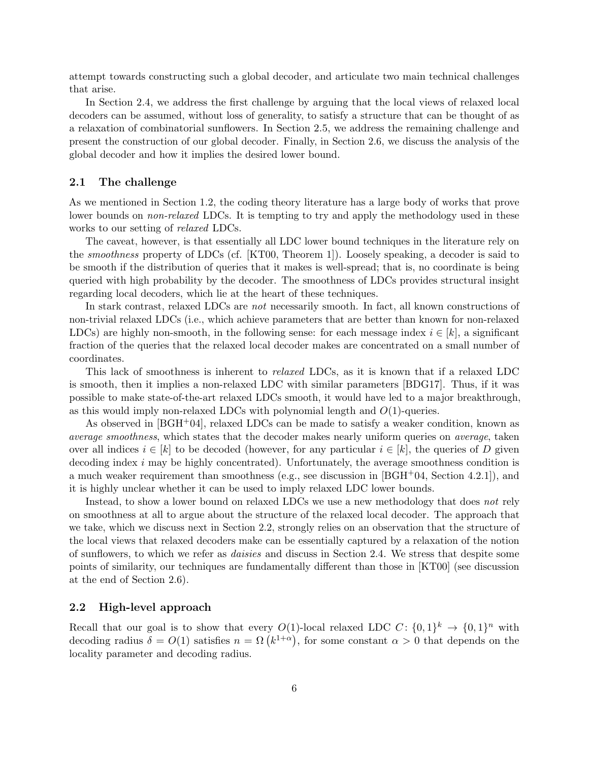attempt towards constructing such a global decoder, and articulate two main technical challenges that arise.

In Section 2.4, we address the first challenge by arguing that the local views of relaxed local decoders can be assumed, without loss of generality, to satisfy a structure that can be thought of as a relaxation of combinatorial sunflowers. In Section 2.5, we address the remaining challenge and present the construction of our global decoder. Finally, in Section 2.6, we discuss the analysis of the global decoder and how it implies the desired lower bound.

#### 2.1 The challenge

As we mentioned in Section 1.2, the coding theory literature has a large body of works that prove lower bounds on non-relaxed LDCs. It is tempting to try and apply the methodology used in these works to our setting of *relaxed* LDCs.

The caveat, however, is that essentially all LDC lower bound techniques in the literature rely on the smoothness property of LDCs (cf. [KT00, Theorem 1]). Loosely speaking, a decoder is said to be smooth if the distribution of queries that it makes is well-spread; that is, no coordinate is being queried with high probability by the decoder. The smoothness of LDCs provides structural insight regarding local decoders, which lie at the heart of these techniques.

In stark contrast, relaxed LDCs are *not* necessarily smooth. In fact, all known constructions of non-trivial relaxed LDCs (i.e., which achieve parameters that are better than known for non-relaxed LDCs) are highly non-smooth, in the following sense: for each message index  $i \in [k]$ , a significant fraction of the queries that the relaxed local decoder makes are concentrated on a small number of coordinates.

This lack of smoothness is inherent to *relaxed* LDCs, as it is known that if a relaxed LDC is smooth, then it implies a non-relaxed LDC with similar parameters [BDG17]. Thus, if it was possible to make state-of-the-art relaxed LDCs smooth, it would have led to a major breakthrough, as this would imply non-relaxed LDCs with polynomial length and  $O(1)$ -queries.

As observed in  $[\text{BGH}^+04]$ , relaxed LDCs can be made to satisfy a weaker condition, known as average smoothness, which states that the decoder makes nearly uniform queries on average, taken over all indices  $i \in [k]$  to be decoded (however, for any particular  $i \in [k]$ , the queries of D given decoding index i may be highly concentrated). Unfortunately, the average smoothness condition is a much weaker requirement than smoothness (e.g., see discussion in  $[*BGH* + 04$ , Section 4.2.1)), and it is highly unclear whether it can be used to imply relaxed LDC lower bounds.

Instead, to show a lower bound on relaxed LDCs we use a new methodology that does not rely on smoothness at all to argue about the structure of the relaxed local decoder. The approach that we take, which we discuss next in Section 2.2, strongly relies on an observation that the structure of the local views that relaxed decoders make can be essentially captured by a relaxation of the notion of sunflowers, to which we refer as daisies and discuss in Section 2.4. We stress that despite some points of similarity, our techniques are fundamentally different than those in [KT00] (see discussion at the end of Section 2.6).

#### 2.2 High-level approach

Recall that our goal is to show that every  $O(1)$ -local relaxed LDC  $C: \{0,1\}^k \to \{0,1\}^n$  with decoding radius  $\delta = O(1)$  satisfies  $n = \Omega(k^{1+\alpha})$ , for some constant  $\alpha > 0$  that depends on the locality parameter and decoding radius.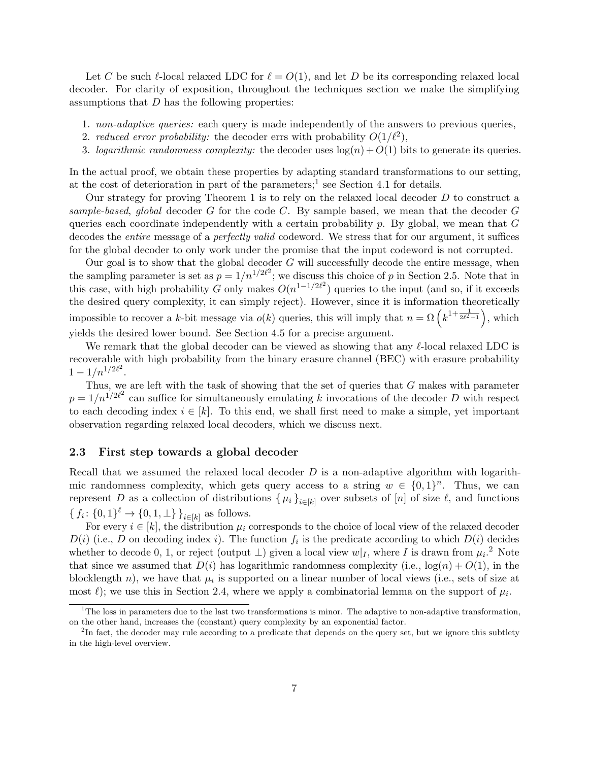Let C be such  $\ell$ -local relaxed LDC for  $\ell = O(1)$ , and let D be its corresponding relaxed local decoder. For clarity of exposition, throughout the techniques section we make the simplifying assumptions that D has the following properties:

- 1. non-adaptive queries: each query is made independently of the answers to previous queries,
- 2. reduced error probability: the decoder errs with probability  $O(1/\ell^2)$ ,
- 3. logarithmic randomness complexity: the decoder uses  $log(n) + O(1)$  bits to generate its queries.

In the actual proof, we obtain these properties by adapting standard transformations to our setting, at the cost of deterioration in part of the parameters;<sup>1</sup> see Section 4.1 for details.

Our strategy for proving Theorem 1 is to rely on the relaxed local decoder  $D$  to construct a sample-based, global decoder  $G$  for the code  $C$ . By sample based, we mean that the decoder  $G$ queries each coordinate independently with a certain probability  $p$ . By global, we mean that  $G$ decodes the *entire* message of a *perfectly valid* codeword. We stress that for our argument, it suffices for the global decoder to only work under the promise that the input codeword is not corrupted.

Our goal is to show that the global decoder  $G$  will successfully decode the entire message, when the sampling parameter is set as  $p = 1/n^{1/2\ell^2}$ ; we discuss this choice of p in Section 2.5. Note that in this case, with high probability G only makes  $O(n^{1-1/2\ell^2})$  queries to the input (and so, if it exceeds the desired query complexity, it can simply reject). However, since it is information theoretically impossible to recover a k-bit message via  $o(k)$  queries, this will imply that  $n = \Omega\left(k^{1+\frac{1}{2\ell^2-1}}\right)$ , which yields the desired lower bound. See Section 4.5 for a precise argument.

We remark that the global decoder can be viewed as showing that any  $\ell$ -local relaxed LDC is recoverable with high probability from the binary erasure channel (BEC) with erasure probability  $1 - 1/n^{1/2\ell^2}$ .

Thus, we are left with the task of showing that the set of queries that G makes with parameter  $p = 1/n^{1/2\ell^2}$  can suffice for simultaneously emulating k invocations of the decoder D with respect to each decoding index  $i \in [k]$ . To this end, we shall first need to make a simple, yet important observation regarding relaxed local decoders, which we discuss next.

### 2.3 First step towards a global decoder

Recall that we assumed the relaxed local decoder  $D$  is a non-adaptive algorithm with logarithmic randomness complexity, which gets query access to a string  $w \in \{0,1\}^n$ . Thus, we can represent D as a collection of distributions  $\{\mu_i\}_{i\in[k]}$  over subsets of  $[n]$  of size  $\ell$ , and functions  $\{f_i: \{0,1\}^{\ell} \to \{0,1,\perp\}\}_{i \in [k]}$  as follows.

For every  $i \in [k]$ , the distribution  $\mu_i$  corresponds to the choice of local view of the relaxed decoder  $D(i)$  (i.e., D on decoding index i). The function  $f_i$  is the predicate according to which  $D(i)$  decides whether to decode 0, 1, or reject (output  $\perp$ ) given a local view  $w|_I$ , where I is drawn from  $\mu_i$ .<sup>2</sup> Note that since we assumed that  $D(i)$  has logarithmic randomness complexity (i.e.,  $log(n) + O(1)$ , in the blocklength  $n$ ), we have that  $\mu_i$  is supported on a linear number of local views (i.e., sets of size at most  $\ell$ ); we use this in Section 2.4, where we apply a combinatorial lemma on the support of  $\mu_i$ .

<sup>&</sup>lt;sup>1</sup>The loss in parameters due to the last two transformations is minor. The adaptive to non-adaptive transformation, on the other hand, increases the (constant) query complexity by an exponential factor.

<sup>&</sup>lt;sup>2</sup>In fact, the decoder may rule according to a predicate that depends on the query set, but we ignore this subtlety in the high-level overview.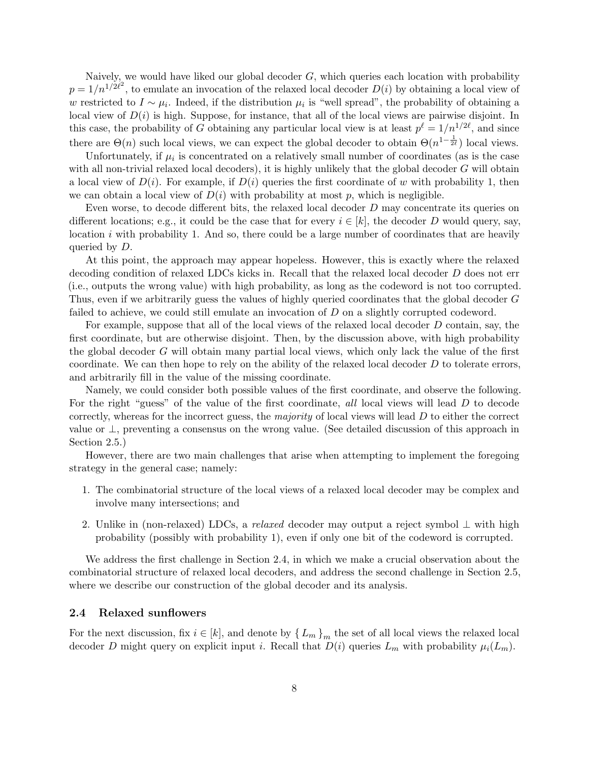Naively, we would have liked our global decoder  $G$ , which queries each location with probability  $p = 1/n^{1/2\ell^2}$ , to emulate an invocation of the relaxed local decoder  $D(i)$  by obtaining a local view of w restricted to  $I \sim \mu_i$ . Indeed, if the distribution  $\mu_i$  is "well spread", the probability of obtaining a local view of  $D(i)$  is high. Suppose, for instance, that all of the local views are pairwise disjoint. In this case, the probability of G obtaining any particular local view is at least  $p^{\ell} = 1/n^{1/2\ell}$ , and since there are  $\Theta(n)$  such local views, we can expect the global decoder to obtain  $\Theta(n^{1-\frac{1}{2\ell}})$  local views.

Unfortunately, if  $\mu_i$  is concentrated on a relatively small number of coordinates (as is the case with all non-trivial relaxed local decoders), it is highly unlikely that the global decoder G will obtain a local view of  $D(i)$ . For example, if  $D(i)$  queries the first coordinate of w with probability 1, then we can obtain a local view of  $D(i)$  with probability at most p, which is negligible.

Even worse, to decode different bits, the relaxed local decoder D may concentrate its queries on different locations; e.g., it could be the case that for every  $i \in [k]$ , the decoder D would query, say, location  $i$  with probability 1. And so, there could be a large number of coordinates that are heavily queried by D.

At this point, the approach may appear hopeless. However, this is exactly where the relaxed decoding condition of relaxed LDCs kicks in. Recall that the relaxed local decoder D does not err (i.e., outputs the wrong value) with high probability, as long as the codeword is not too corrupted. Thus, even if we arbitrarily guess the values of highly queried coordinates that the global decoder G failed to achieve, we could still emulate an invocation of D on a slightly corrupted codeword.

For example, suppose that all of the local views of the relaxed local decoder D contain, say, the first coordinate, but are otherwise disjoint. Then, by the discussion above, with high probability the global decoder G will obtain many partial local views, which only lack the value of the first coordinate. We can then hope to rely on the ability of the relaxed local decoder  $D$  to tolerate errors. and arbitrarily fill in the value of the missing coordinate.

Namely, we could consider both possible values of the first coordinate, and observe the following. For the right "guess" of the value of the first coordinate, all local views will lead D to decode correctly, whereas for the incorrect guess, the *majority* of local views will lead  $D$  to either the correct value or ⊥, preventing a consensus on the wrong value. (See detailed discussion of this approach in Section 2.5.)

However, there are two main challenges that arise when attempting to implement the foregoing strategy in the general case; namely:

- 1. The combinatorial structure of the local views of a relaxed local decoder may be complex and involve many intersections; and
- 2. Unlike in (non-relaxed) LDCs, a relaxed decoder may output a reject symbol  $\perp$  with high probability (possibly with probability 1), even if only one bit of the codeword is corrupted.

We address the first challenge in Section 2.4, in which we make a crucial observation about the combinatorial structure of relaxed local decoders, and address the second challenge in Section 2.5, where we describe our construction of the global decoder and its analysis.

#### 2.4 Relaxed sunflowers

For the next discussion, fix  $i \in [k]$ , and denote by  $\{L_m\}_m$  the set of all local views the relaxed local decoder D might query on explicit input *i*. Recall that  $D(i)$  queries  $L_m$  with probability  $\mu_i(L_m)$ .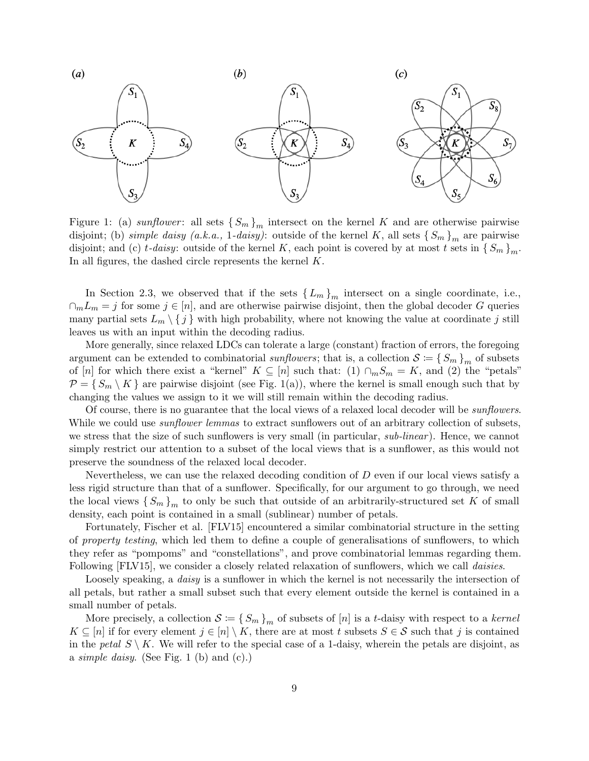

Figure 1: (a) sunflower: all sets  $\{S_m\}_m$  intersect on the kernel K and are otherwise pairwise disjoint; (b) simple daisy (a.k.a., 1-daisy): outside of the kernel K, all sets  $\{S_m\}_m$  are pairwise disjoint; and (c) t-daisy: outside of the kernel K, each point is covered by at most t sets in  $\{S_m\}_m$ . In all figures, the dashed circle represents the kernel K.

In Section 2.3, we observed that if the sets  ${L_m}_{m}$  intersect on a single coordinate, i.e.,  $\cap_m L_m = j$  for some  $j \in [n]$ , and are otherwise pairwise disjoint, then the global decoder G queries many partial sets  $L_m \setminus \{j\}$  with high probability, where not knowing the value at coordinate j still leaves us with an input within the decoding radius.

More generally, since relaxed LDCs can tolerate a large (constant) fraction of errors, the foregoing argument can be extended to combinatorial sunflowers; that is, a collection  $S = \{S_m\}_m$  of subsets of [n] for which there exist a "kernel"  $K \subseteq [n]$  such that: (1)  $\cap_m S_m = K$ , and (2) the "petals"  $\mathcal{P} = \{ S_m \setminus K \}$  are pairwise disjoint (see Fig. 1(a)), where the kernel is small enough such that by changing the values we assign to it we will still remain within the decoding radius.

Of course, there is no guarantee that the local views of a relaxed local decoder will be *sunflowers*. While we could use *sunflower lemmas* to extract sunflowers out of an arbitrary collection of subsets, we stress that the size of such sunflowers is very small (in particular, sub-linear). Hence, we cannot simply restrict our attention to a subset of the local views that is a sunflower, as this would not preserve the soundness of the relaxed local decoder.

Nevertheless, we can use the relaxed decoding condition of D even if our local views satisfy a less rigid structure than that of a sunflower. Specifically, for our argument to go through, we need the local views  $\{S_m\}_{m}$  to only be such that outside of an arbitrarily-structured set K of small density, each point is contained in a small (sublinear) number of petals.

Fortunately, Fischer et al. [FLV15] encountered a similar combinatorial structure in the setting of property testing, which led them to define a couple of generalisations of sunflowers, to which they refer as "pompoms" and "constellations", and prove combinatorial lemmas regarding them. Following [FLV15], we consider a closely related relaxation of sunflowers, which we call *daisies*.

Loosely speaking, a *daisy* is a sunflower in which the kernel is not necessarily the intersection of all petals, but rather a small subset such that every element outside the kernel is contained in a small number of petals.

More precisely, a collection  $S := \{S_m\}_m$  of subsets of [n] is a t-daisy with respect to a kernel  $K \subseteq [n]$  if for every element  $j \in [n] \setminus K$ , there are at most t subsets  $S \in \mathcal{S}$  such that j is contained in the petal  $S \setminus K$ . We will refer to the special case of a 1-daisy, wherein the petals are disjoint, as a *simple daisy*. (See Fig. 1 (b) and (c).)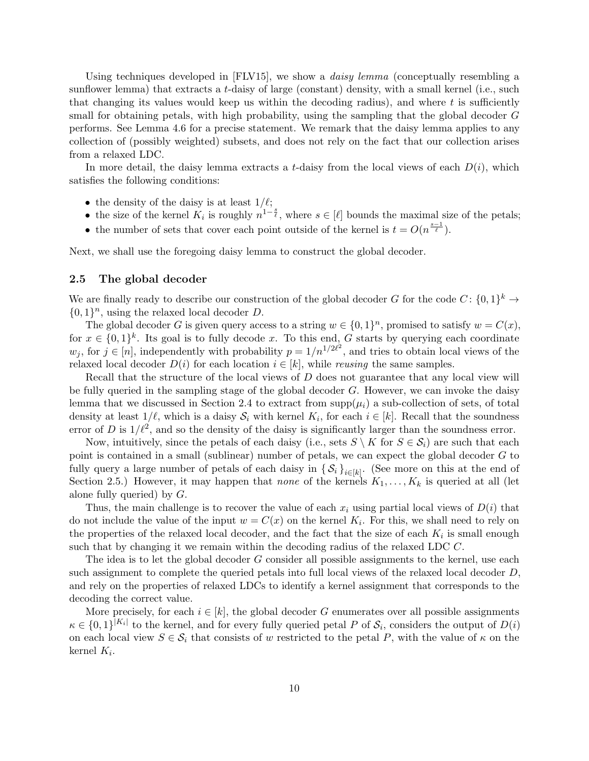Using techniques developed in [FLV15], we show a *daisy lemma* (conceptually resembling a sunflower lemma) that extracts a t-daisy of large (constant) density, with a small kernel (i.e., such that changing its values would keep us within the decoding radius), and where  $t$  is sufficiently small for obtaining petals, with high probability, using the sampling that the global decoder G performs. See Lemma 4.6 for a precise statement. We remark that the daisy lemma applies to any collection of (possibly weighted) subsets, and does not rely on the fact that our collection arises from a relaxed LDC.

In more detail, the daisy lemma extracts a t-daisy from the local views of each  $D(i)$ , which satisfies the following conditions:

- the density of the daisy is at least  $1/\ell$ ;
- the size of the kernel  $K_i$  is roughly  $n^{1-\frac{s}{\ell}}$ , where  $s \in [\ell]$  bounds the maximal size of the petals;
- the number of sets that cover each point outside of the kernel is  $t = O(n^{\frac{s-1}{\ell}})$ .

Next, we shall use the foregoing daisy lemma to construct the global decoder.

### 2.5 The global decoder

We are finally ready to describe our construction of the global decoder G for the code  $C: \{0,1\}^k \to$  $\{0,1\}^n$ , using the relaxed local decoder D.

The global decoder G is given query access to a string  $w \in \{0,1\}^n$ , promised to satisfy  $w = C(x)$ , for  $x \in \{0,1\}^k$ . Its goal is to fully decode x. To this end, G starts by querying each coordinate  $w_j$ , for  $j \in [n]$ , independently with probability  $p = 1/n^{1/2\ell^2}$ , and tries to obtain local views of the relaxed local decoder  $D(i)$  for each location  $i \in [k]$ , while *reusing* the same samples.

Recall that the structure of the local views of D does not guarantee that any local view will be fully queried in the sampling stage of the global decoder  $G$ . However, we can invoke the daisy lemma that we discussed in Section 2.4 to extract from  $\text{supp}(\mu_i)$  a sub-collection of sets, of total density at least  $1/\ell$ , which is a daisy  $\mathcal{S}_i$  with kernel  $K_i$ , for each  $i \in [k]$ . Recall that the soundness error of D is  $1/\ell^2$ , and so the density of the daisy is significantly larger than the soundness error.

Now, intuitively, since the petals of each daisy (i.e., sets  $S \setminus K$  for  $S \in \mathcal{S}_i$ ) are such that each point is contained in a small (sublinear) number of petals, we can expect the global decoder G to fully query a large number of petals of each daisy in  $\{S_i\}_{i\in[k]}$ . (See more on this at the end of Section 2.5.) However, it may happen that none of the kernels  $K_1, \ldots, K_k$  is queried at all (let alone fully queried) by G.

Thus, the main challenge is to recover the value of each  $x_i$  using partial local views of  $D(i)$  that do not include the value of the input  $w = C(x)$  on the kernel  $K_i$ . For this, we shall need to rely on the properties of the relaxed local decoder, and the fact that the size of each  $K_i$  is small enough such that by changing it we remain within the decoding radius of the relaxed LDC C.

The idea is to let the global decoder G consider all possible assignments to the kernel, use each such assignment to complete the queried petals into full local views of the relaxed local decoder D, and rely on the properties of relaxed LDCs to identify a kernel assignment that corresponds to the decoding the correct value.

More precisely, for each  $i \in [k]$ , the global decoder G enumerates over all possible assignments  $\kappa \in \{0,1\}^{|K_i|}$  to the kernel, and for every fully queried petal P of  $\mathcal{S}_i$ , considers the output of  $D(i)$ on each local view  $S \in \mathcal{S}_i$  that consists of w restricted to the petal P, with the value of  $\kappa$  on the kernel  $K_i$ .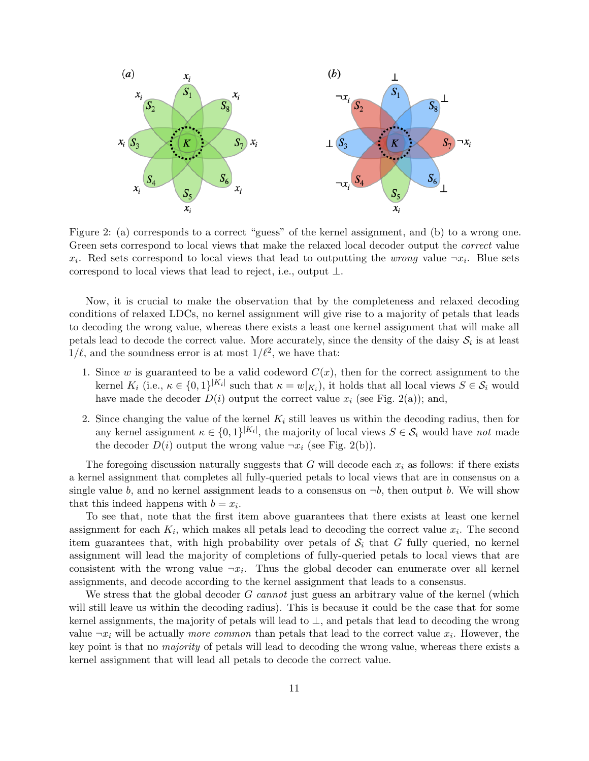

Figure 2: (a) corresponds to a correct "guess" of the kernel assignment, and (b) to a wrong one. Green sets correspond to local views that make the relaxed local decoder output the *correct* value  $x_i$ . Red sets correspond to local views that lead to outputting the *wrong* value  $\neg x_i$ . Blue sets correspond to local views that lead to reject, i.e., output ⊥.

Now, it is crucial to make the observation that by the completeness and relaxed decoding conditions of relaxed LDCs, no kernel assignment will give rise to a majority of petals that leads to decoding the wrong value, whereas there exists a least one kernel assignment that will make all petals lead to decode the correct value. More accurately, since the density of the daisy  $S_i$  is at least  $1/\ell$ , and the soundness error is at most  $1/\ell^2$ , we have that:

- 1. Since w is guaranteed to be a valid codeword  $C(x)$ , then for the correct assignment to the kernel  $K_i$  (i.e.,  $\kappa \in \{0,1\}^{|K_i|}$  such that  $\kappa = w|_{K_i}$ ), it holds that all local views  $S \in \mathcal{S}_i$  would have made the decoder  $D(i)$  output the correct value  $x_i$  (see Fig. 2(a)); and,
- 2. Since changing the value of the kernel  $K_i$  still leaves us within the decoding radius, then for any kernel assignment  $\kappa \in \{0,1\}^{|K_i|}$ , the majority of local views  $S \in \mathcal{S}_i$  would have not made the decoder  $D(i)$  output the wrong value  $\neg x_i$  (see Fig. 2(b)).

The foregoing discussion naturally suggests that G will decode each  $x_i$  as follows: if there exists a kernel assignment that completes all fully-queried petals to local views that are in consensus on a single value b, and no kernel assignment leads to a consensus on  $\neg b$ , then output b. We will show that this indeed happens with  $b = x_i$ .

To see that, note that the first item above guarantees that there exists at least one kernel assignment for each  $K_i$ , which makes all petals lead to decoding the correct value  $x_i$ . The second item guarantees that, with high probability over petals of  $S_i$  that G fully queried, no kernel assignment will lead the majority of completions of fully-queried petals to local views that are consistent with the wrong value  $\neg x_i$ . Thus the global decoder can enumerate over all kernel assignments, and decode according to the kernel assignment that leads to a consensus.

We stress that the global decoder  $G$  cannot just guess an arbitrary value of the kernel (which will still leave us within the decoding radius). This is because it could be the case that for some kernel assignments, the majority of petals will lead to  $\perp$ , and petals that lead to decoding the wrong value  $\neg x_i$  will be actually *more common* than petals that lead to the correct value  $x_i$ . However, the key point is that no majority of petals will lead to decoding the wrong value, whereas there exists a kernel assignment that will lead all petals to decode the correct value.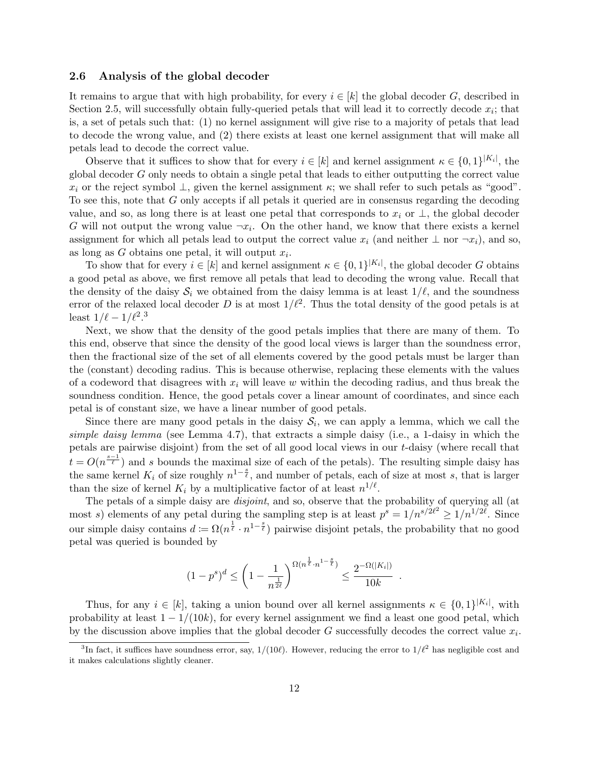### 2.6 Analysis of the global decoder

It remains to argue that with high probability, for every  $i \in [k]$  the global decoder G, described in Section 2.5, will successfully obtain fully-queried petals that will lead it to correctly decode  $x_i$ ; that is, a set of petals such that: (1) no kernel assignment will give rise to a majority of petals that lead to decode the wrong value, and (2) there exists at least one kernel assignment that will make all petals lead to decode the correct value.

Observe that it suffices to show that for every  $i \in [k]$  and kernel assignment  $\kappa \in \{0,1\}^{|K_i|}$ , the global decoder G only needs to obtain a single petal that leads to either outputting the correct value  $x_i$  or the reject symbol  $\perp$ , given the kernel assignment  $\kappa$ ; we shall refer to such petals as "good". To see this, note that G only accepts if all petals it queried are in consensus regarding the decoding value, and so, as long there is at least one petal that corresponds to  $x_i$  or  $\perp$ , the global decoder G will not output the wrong value  $\neg x_i$ . On the other hand, we know that there exists a kernel assignment for which all petals lead to output the correct value  $x_i$  (and neither  $\perp$  nor  $\neg x_i$ ), and so, as long as  $G$  obtains one petal, it will output  $x_i$ .

To show that for every  $i \in [k]$  and kernel assignment  $\kappa \in \{0,1\}^{|K_i|}$ , the global decoder G obtains a good petal as above, we first remove all petals that lead to decoding the wrong value. Recall that the density of the daisy  $S_i$  we obtained from the daisy lemma is at least  $1/\ell$ , and the soundness error of the relaxed local decoder D is at most  $1/\ell^2$ . Thus the total density of the good petals is at least  $1/\ell - 1/\ell^2$ .<sup>3</sup>

Next, we show that the density of the good petals implies that there are many of them. To this end, observe that since the density of the good local views is larger than the soundness error, then the fractional size of the set of all elements covered by the good petals must be larger than the (constant) decoding radius. This is because otherwise, replacing these elements with the values of a codeword that disagrees with  $x_i$  will leave w within the decoding radius, and thus break the soundness condition. Hence, the good petals cover a linear amount of coordinates, and since each petal is of constant size, we have a linear number of good petals.

Since there are many good petals in the daisy  $S_i$ , we can apply a lemma, which we call the simple daisy lemma (see Lemma 4.7), that extracts a simple daisy (i.e., a 1-daisy in which the petals are pairwise disjoint) from the set of all good local views in our t-daisy (where recall that  $t = O(n^{\frac{s-1}{\ell}})$  and s bounds the maximal size of each of the petals). The resulting simple daisy has the same kernel  $K_i$  of size roughly  $n^{1-\frac{s}{\ell}}$ , and number of petals, each of size at most s, that is larger than the size of kernel  $K_i$  by a multiplicative factor of at least  $n^{1/\ell}$ .

The petals of a simple daisy are *disjoint*, and so, observe that the probability of querying all (at most s) elements of any petal during the sampling step is at least  $p^s = 1/n^{s/2\ell^2} \geq 1/n^{1/2\ell}$ . Since our simple daisy contains  $d := \Omega(n^{\frac{1}{\ell}} \cdot n^{1-\frac{s}{\ell}})$  pairwise disjoint petals, the probability that no good petal was queried is bounded by

$$
(1-p^s)^d \le \left(1-\frac{1}{n^{\frac{1}{2\ell}}}\right)^{\Omega(n^{\frac{1}{\ell}}\cdot n^{1-\frac{s}{\ell}})} \le \frac{2^{-\Omega(|K_i|)}}{10k}
$$

.

Thus, for any  $i \in [k]$ , taking a union bound over all kernel assignments  $\kappa \in \{0,1\}^{|K_i|}$ , with probability at least  $1 - 1/(10k)$ , for every kernel assignment we find a least one good petal, which by the discussion above implies that the global decoder  $G$  successfully decodes the correct value  $x_i$ .

<sup>&</sup>lt;sup>3</sup>In fact, it suffices have soundness error, say,  $1/(10\ell)$ . However, reducing the error to  $1/\ell^2$  has negligible cost and it makes calculations slightly cleaner.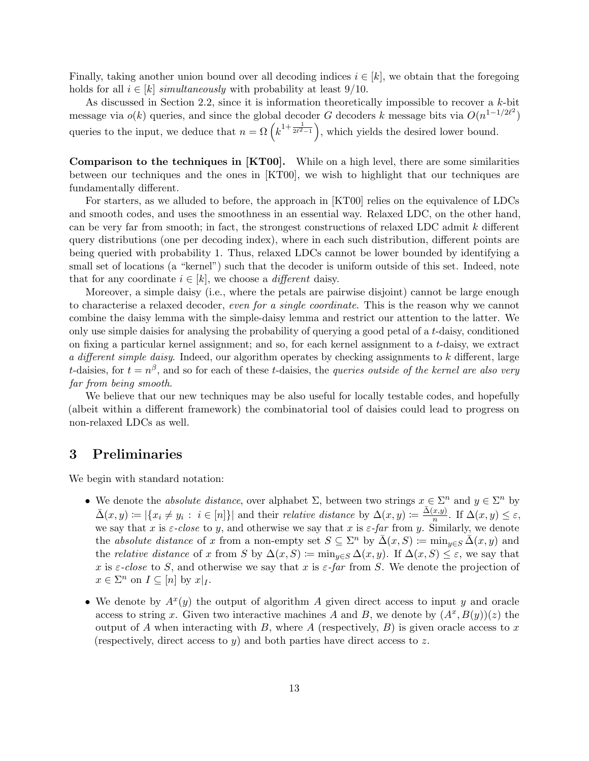Finally, taking another union bound over all decoding indices  $i \in [k]$ , we obtain that the foregoing holds for all  $i \in [k]$  simultaneously with probability at least 9/10.

As discussed in Section 2.2, since it is information theoretically impossible to recover a  $k$ -bit message via  $o(k)$  queries, and since the global decoder G decoders k message bits via  $O(n^{1-1/2\ell^2})$ queries to the input, we deduce that  $n = \Omega\left(k^{1+\frac{1}{2\ell^2-1}}\right)$ , which yields the desired lower bound.

Comparison to the techniques in [KT00]. While on a high level, there are some similarities between our techniques and the ones in [KT00], we wish to highlight that our techniques are fundamentally different.

For starters, as we alluded to before, the approach in [KT00] relies on the equivalence of LDCs and smooth codes, and uses the smoothness in an essential way. Relaxed LDC, on the other hand, can be very far from smooth; in fact, the strongest constructions of relaxed LDC admit  $k$  different query distributions (one per decoding index), where in each such distribution, different points are being queried with probability 1. Thus, relaxed LDCs cannot be lower bounded by identifying a small set of locations (a "kernel") such that the decoder is uniform outside of this set. Indeed, note that for any coordinate  $i \in [k]$ , we choose a *different* daisy.

Moreover, a simple daisy (i.e., where the petals are pairwise disjoint) cannot be large enough to characterise a relaxed decoder, even for a single coordinate. This is the reason why we cannot combine the daisy lemma with the simple-daisy lemma and restrict our attention to the latter. We only use simple daisies for analysing the probability of querying a good petal of a t-daisy, conditioned on fixing a particular kernel assignment; and so, for each kernel assignment to a t-daisy, we extract a different simple daisy. Indeed, our algorithm operates by checking assignments to k different, large t-daisies, for  $t = n^{\beta}$ , and so for each of these t-daisies, the *queries outside of the kernel are also very* far from being smooth.

We believe that our new techniques may be also useful for locally testable codes, and hopefully (albeit within a different framework) the combinatorial tool of daisies could lead to progress on non-relaxed LDCs as well.

# 3 Preliminaries

We begin with standard notation:

- We denote the *absolute distance*, over alphabet  $\Sigma$ , between two strings  $x \in \Sigma^n$  and  $y \in \Sigma^n$  by  $\bar{\Delta}(x,y) \coloneqq |\{x_i \neq y_i : i \in [n]\}|$  and their *relative distance* by  $\Delta(x,y) \coloneqq \frac{\bar{\Delta}(x,y)}{n}$  $\frac{x, y_j}{n}$ . If  $\Delta(x, y) \leq \varepsilon$ , we say that x is  $\varepsilon$ -close to y, and otherwise we say that x is  $\varepsilon$ -far from y. Similarly, we denote the absolute distance of x from a non-empty set  $S \subseteq \Sigma^n$  by  $\bar{\Delta}(x, S) := \min_{y \in S} \bar{\Delta}(x, y)$  and the *relative distance* of x from S by  $\Delta(x, S) \coloneqq \min_{y \in S} \Delta(x, y)$ . If  $\Delta(x, S) \leq \varepsilon$ , we say that x is  $\varepsilon$ -close to S, and otherwise we say that x is  $\varepsilon$ -far from S. We denote the projection of  $x \in \Sigma^n$  on  $I \subseteq [n]$  by  $x|_I$ .
- We denote by  $A^x(y)$  the output of algorithm A given direct access to input y and oracle access to string x. Given two interactive machines A and B, we denote by  $(A^x, B(y))(z)$  the output of A when interacting with B, where A (respectively, B) is given oracle access to x (respectively, direct access to y) and both parties have direct access to z.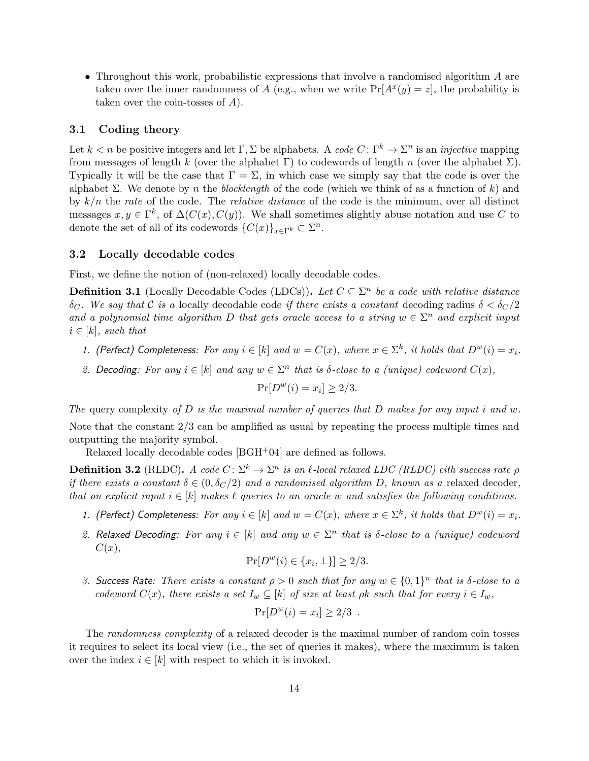• Throughout this work, probabilistic expressions that involve a randomised algorithm A are taken over the inner randomness of A (e.g., when we write  $Pr[A^x(y) = z]$ , the probability is taken over the coin-tosses of A).

### 3.1 Coding theory

Let  $k < n$  be positive integers and let  $\Gamma, \Sigma$  be alphabets. A code  $C: \Gamma^k \to \Sigma^n$  is an *injective* mapping from messages of length k (over the alphabet  $\Gamma$ ) to codewords of length n (over the alphabet  $\Sigma$ ). Typically it will be the case that  $\Gamma = \Sigma$ , in which case we simply say that the code is over the alphabet  $\Sigma$ . We denote by *n* the blocklength of the code (which we think of as a function of k) and by  $k/n$  the rate of the code. The *relative distance* of the code is the minimum, over all distinct messages  $x, y \in \Gamma^k$ , of  $\Delta(C(x), C(y))$ . We shall sometimes slightly abuse notation and use C to denote the set of all of its codewords  $\{C(x)\}_{x\in\Gamma^k} \subset \Sigma^n$ .

#### 3.2 Locally decodable codes

First, we define the notion of (non-relaxed) locally decodable codes.

**Definition 3.1** (Locally Decodable Codes (LDCs)). Let  $C \subseteq \Sigma^n$  be a code with relative distance δ<sub>C</sub>. We say that C is a locally decodable code if there exists a constant decoding radius  $\delta < \delta_C/2$ and a polynomial time algorithm D that gets oracle access to a string  $w \in \Sigma^n$  and explicit input  $i \in [k]$ , such that

- 1. (Perfect) Completeness: For any  $i \in [k]$  and  $w = C(x)$ , where  $x \in \Sigma^k$ , it holds that  $D^w(i) = x_i$ .
- 2. Decoding: For any  $i \in [k]$  and any  $w \in \Sigma^n$  that is  $\delta$ -close to a (unique) codeword  $C(x)$ ,

$$
\Pr[D^w(i) = x_i] \ge 2/3.
$$

The query complexity of D is the maximal number of queries that D makes for any input i and w. Note that the constant 2/3 can be amplified as usual by repeating the process multiple times and outputting the majority symbol.

Relaxed locally decodable codes [BGH+04] are defined as follows.

**Definition 3.2** (RLDC). A code  $C: \Sigma^k \to \Sigma^n$  is an  $\ell$ -local relaxed LDC (RLDC) eith success rate  $\rho$ if there exists a constant  $\delta \in (0, \delta_C/2)$  and a randomised algorithm D, known as a relaxed decoder, that on explicit input  $i \in [k]$  makes  $\ell$  queries to an oracle w and satisfies the following conditions.

- 1. (Perfect) Completeness: For any  $i \in [k]$  and  $w = C(x)$ , where  $x \in \Sigma^k$ , it holds that  $D^w(i) = x_i$ .
- 2. Relaxed Decoding: For any  $i \in [k]$  and any  $w \in \Sigma^n$  that is  $\delta$ -close to a (unique) codeword  $C(x),$

$$
\Pr[D^w(i) \in \{x_i, \perp\}] \ge 2/3.
$$

3. Success Rate: There exists a constant  $\rho > 0$  such that for any  $w \in \{0,1\}^n$  that is  $\delta$ -close to a codeword  $C(x)$ , there exists a set  $I_w \subseteq [k]$  of size at least  $\rho k$  such that for every  $i \in I_w$ ,

$$
Pr[D^w(i) = x_i] \ge 2/3.
$$

The randomness complexity of a relaxed decoder is the maximal number of random coin tosses it requires to select its local view (i.e., the set of queries it makes), where the maximum is taken over the index  $i \in [k]$  with respect to which it is invoked.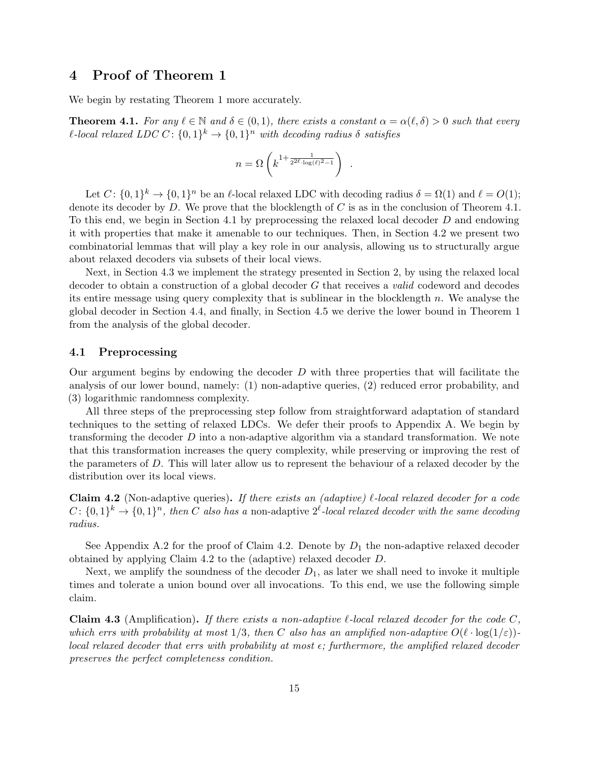# 4 Proof of Theorem 1

We begin by restating Theorem 1 more accurately.

**Theorem 4.1.** For any  $\ell \in \mathbb{N}$  and  $\delta \in (0, 1)$ , there exists a constant  $\alpha = \alpha(\ell, \delta) > 0$  such that every  $\ell$ -local relaxed LDC C:  $\{0,1\}^k \rightarrow \{0,1\}^n$  with decoding radius  $\delta$  satisfies

$$
n = \Omega\left(k^{1+\frac{1}{2^{2\ell}\cdot \log(\ell)^2 - 1}}\right) \ .
$$

Let  $C: \{0,1\}^k \to \{0,1\}^n$  be an  $\ell$ -local relaxed LDC with decoding radius  $\delta = \Omega(1)$  and  $\ell = O(1)$ ; denote its decoder by D. We prove that the blocklength of C is as in the conclusion of Theorem 4.1. To this end, we begin in Section 4.1 by preprocessing the relaxed local decoder D and endowing it with properties that make it amenable to our techniques. Then, in Section 4.2 we present two combinatorial lemmas that will play a key role in our analysis, allowing us to structurally argue about relaxed decoders via subsets of their local views.

Next, in Section 4.3 we implement the strategy presented in Section 2, by using the relaxed local decoder to obtain a construction of a global decoder G that receives a valid codeword and decodes its entire message using query complexity that is sublinear in the blocklength  $n$ . We analyse the global decoder in Section 4.4, and finally, in Section 4.5 we derive the lower bound in Theorem 1 from the analysis of the global decoder.

#### 4.1 Preprocessing

Our argument begins by endowing the decoder D with three properties that will facilitate the analysis of our lower bound, namely: (1) non-adaptive queries, (2) reduced error probability, and (3) logarithmic randomness complexity.

All three steps of the preprocessing step follow from straightforward adaptation of standard techniques to the setting of relaxed LDCs. We defer their proofs to Appendix A. We begin by transforming the decoder  $D$  into a non-adaptive algorithm via a standard transformation. We note that this transformation increases the query complexity, while preserving or improving the rest of the parameters of D. This will later allow us to represent the behaviour of a relaxed decoder by the distribution over its local views.

**Claim 4.2** (Non-adaptive queries). If there exists an *(adaptive)*  $\ell$ -local relaxed decoder for a code  $C: \{0,1\}^k \to \{0,1\}^n$ , then C also has a non-adaptive  $2^{\ell}$ -local relaxed decoder with the same decoding radius.

See Appendix A.2 for the proof of Claim 4.2. Denote by  $D_1$  the non-adaptive relaxed decoder obtained by applying Claim 4.2 to the (adaptive) relaxed decoder D.

Next, we amplify the soundness of the decoder  $D_1$ , as later we shall need to invoke it multiple times and tolerate a union bound over all invocations. To this end, we use the following simple claim.

Claim 4.3 (Amplification). If there exists a non-adaptive  $\ell$ -local relaxed decoder for the code C, which errs with probability at most  $1/3$ , then C also has an amplified non-adaptive  $O(\ell \cdot \log(1/\varepsilon))$ local relaxed decoder that errs with probability at most  $\epsilon$ ; furthermore, the amplified relaxed decoder preserves the perfect completeness condition.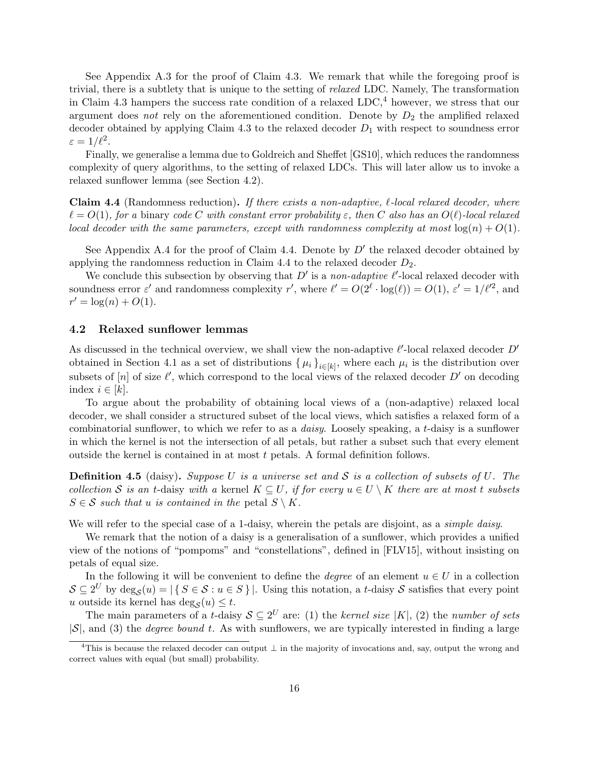See Appendix A.3 for the proof of Claim 4.3. We remark that while the foregoing proof is trivial, there is a subtlety that is unique to the setting of relaxed LDC. Namely, The transformation in Claim 4.3 hampers the success rate condition of a relaxed  $LDC<sub>1</sub><sup>4</sup>$  however, we stress that our argument does not rely on the aforementioned condition. Denote by  $D_2$  the amplified relaxed decoder obtained by applying Claim 4.3 to the relaxed decoder  $D_1$  with respect to soundness error  $\varepsilon = 1/\ell^2$ .

Finally, we generalise a lemma due to Goldreich and Sheffet [GS10], which reduces the randomness complexity of query algorithms, to the setting of relaxed LDCs. This will later allow us to invoke a relaxed sunflower lemma (see Section 4.2).

**Claim 4.4** (Randomness reduction). If there exists a non-adaptive,  $\ell$ -local relaxed decoder, where  $\ell = O(1)$ , for a binary code C with constant error probability  $\varepsilon$ , then C also has an  $O(\ell)$ -local relaxed local decoder with the same parameters, except with randomness complexity at most  $log(n) + O(1)$ .

See Appendix A.4 for the proof of Claim 4.4. Denote by  $D'$  the relaxed decoder obtained by applying the randomness reduction in Claim 4.4 to the relaxed decoder  $D_2$ .

We conclude this subsection by observing that  $D'$  is a non-adaptive  $\ell'$ -local relaxed decoder with soundness error  $\varepsilon'$  and randomness complexity r', where  $\ell' = O(2^{\ell} \cdot \log(\ell)) = O(1)$ ,  $\varepsilon' = 1/\ell'^2$ , and  $r' = \log(n) + O(1).$ 

# 4.2 Relaxed sunflower lemmas

As discussed in the technical overview, we shall view the non-adaptive  $\ell'$ -local relaxed decoder  $D'$ obtained in Section 4.1 as a set of distributions  $\{\mu_i\}_{i\in[k]}$ , where each  $\mu_i$  is the distribution over subsets of  $[n]$  of size  $\ell'$ , which correspond to the local views of the relaxed decoder D' on decoding index  $i \in [k]$ .

To argue about the probability of obtaining local views of a (non-adaptive) relaxed local decoder, we shall consider a structured subset of the local views, which satisfies a relaxed form of a combinatorial sunflower, to which we refer to as a daisy. Loosely speaking, a t-daisy is a sunflower in which the kernel is not the intersection of all petals, but rather a subset such that every element outside the kernel is contained in at most  $t$  petals. A formal definition follows.

**Definition 4.5** (daisy). Suppose U is a universe set and S is a collection of subsets of U. The collection S is an t-daisy with a kernel  $K \subseteq U$ , if for every  $u \in U \setminus K$  there are at most t subsets  $S \in \mathcal{S}$  such that u is contained in the petal  $S \setminus K$ .

We will refer to the special case of a 1-daisy, wherein the petals are disjoint, as a *simple daisy*.

We remark that the notion of a daisy is a generalisation of a sunflower, which provides a unified view of the notions of "pompoms" and "constellations", defined in [FLV15], without insisting on petals of equal size.

In the following it will be convenient to define the *degree* of an element  $u \in U$  in a collection  $S \subseteq 2^U$  by  $\deg_{\mathcal{S}}(u) = |\{S \in \mathcal{S} : u \in S\}|$ . Using this notation, a t-daisy S satisfies that every point u outside its kernel has  $\deg_{\mathcal{S}}(u) \leq t$ .

The main parameters of a t-daisy  $S \subseteq 2^U$  are: (1) the kernel size |K|, (2) the number of sets  $|S|$ , and (3) the *degree bound t*. As with sunflowers, we are typically interested in finding a large

<sup>&</sup>lt;sup>4</sup>This is because the relaxed decoder can output  $\perp$  in the majority of invocations and, say, output the wrong and correct values with equal (but small) probability.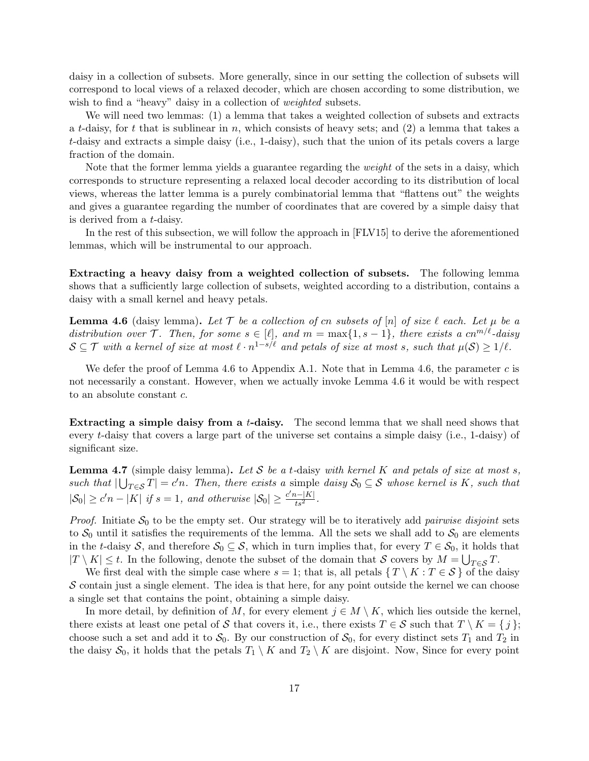daisy in a collection of subsets. More generally, since in our setting the collection of subsets will correspond to local views of a relaxed decoder, which are chosen according to some distribution, we wish to find a "heavy" daisy in a collection of *weighted* subsets.

We will need two lemmas: (1) a lemma that takes a weighted collection of subsets and extracts a t-daisy, for t that is sublinear in n, which consists of heavy sets; and  $(2)$  a lemma that takes a t-daisy and extracts a simple daisy (i.e., 1-daisy), such that the union of its petals covers a large fraction of the domain.

Note that the former lemma yields a guarantee regarding the weight of the sets in a daisy, which corresponds to structure representing a relaxed local decoder according to its distribution of local views, whereas the latter lemma is a purely combinatorial lemma that "flattens out" the weights and gives a guarantee regarding the number of coordinates that are covered by a simple daisy that is derived from a t-daisy.

In the rest of this subsection, we will follow the approach in [FLV15] to derive the aforementioned lemmas, which will be instrumental to our approach.

Extracting a heavy daisy from a weighted collection of subsets. The following lemma shows that a sufficiently large collection of subsets, weighted according to a distribution, contains a daisy with a small kernel and heavy petals.

**Lemma 4.6** (daisy lemma). Let T be a collection of cn subsets of |n| of size  $\ell$  each. Let  $\mu$  be a distribution over  $\mathcal{T}$ . Then, for some  $s \in [\ell],$  and  $m = \max\{1, s - 1\}$ , there exists a cn<sup>m/ $\ell$ </sup>-daisy  $\mathcal{S} \subseteq \mathcal{T}$  with a kernel of size at most  $\ell \cdot n^{1-s/\ell}$  and petals of size at most s, such that  $\mu(\mathcal{S}) \geq 1/\ell$ .

We defer the proof of Lemma 4.6 to Appendix A.1. Note that in Lemma 4.6, the parameter c is not necessarily a constant. However, when we actually invoke Lemma 4.6 it would be with respect to an absolute constant c.

Extracting a simple daisy from a t-daisy. The second lemma that we shall need shows that every t-daisy that covers a large part of the universe set contains a simple daisy (i.e., 1-daisy) of significant size.

**Lemma 4.7** (simple daisy lemma). Let S be a t-daisy with kernel K and petals of size at most s, such that  $|\bigcup_{T\in\mathcal{S}}T|=c'n$ . Then, there exists a simple daisy  $\mathcal{S}_0\subseteq\mathcal{S}$  whose kernel is K, such that  $|\mathcal{S}_0| \ge c'n - |K|$  if  $s = 1$ , and otherwise  $|\mathcal{S}_0| \ge \frac{c'n - |K|}{ts^2}$ .

*Proof.* Initiate  $S_0$  to be the empty set. Our strategy will be to iteratively add *pairwise disjoint* sets to  $S_0$  until it satisfies the requirements of the lemma. All the sets we shall add to  $S_0$  are elements in the t-daisy S, and therefore  $S_0 \subseteq S$ , which in turn implies that, for every  $T \in S_0$ , it holds that  $|T \setminus K| \leq t$ . In the following, denote the subset of the domain that S covers by  $M = \bigcup_{T \in \mathcal{S}} T$ .

We first deal with the simple case where  $s = 1$ ; that is, all petals  $\{T \setminus K : T \in \mathcal{S}\}\$  of the daisy  $\mathcal S$  contain just a single element. The idea is that here, for any point outside the kernel we can choose a single set that contains the point, obtaining a simple daisy.

In more detail, by definition of M, for every element  $j \in M \setminus K$ , which lies outside the kernel, there exists at least one petal of S that covers it, i.e., there exists  $T \in S$  such that  $T \setminus K = \{j\};$ choose such a set and add it to  $S_0$ . By our construction of  $S_0$ , for every distinct sets  $T_1$  and  $T_2$  in the daisy  $S_0$ , it holds that the petals  $T_1 \setminus K$  and  $T_2 \setminus K$  are disjoint. Now, Since for every point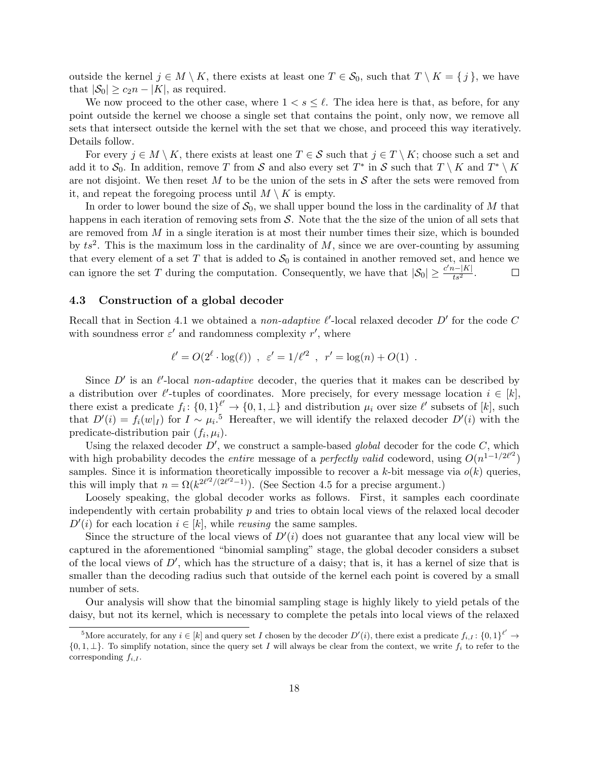outside the kernel  $j \in M \setminus K$ , there exists at least one  $T \in S_0$ , such that  $T \setminus K = \{j\}$ , we have that  $|\mathcal{S}_0| \ge c_2 n - |K|$ , as required.

We now proceed to the other case, where  $1 < s \leq \ell$ . The idea here is that, as before, for any point outside the kernel we choose a single set that contains the point, only now, we remove all sets that intersect outside the kernel with the set that we chose, and proceed this way iteratively. Details follow.

For every  $j \in M \setminus K$ , there exists at least one  $T \in S$  such that  $j \in T \setminus K$ ; choose such a set and add it to  $\mathcal{S}_0$ . In addition, remove T from S and also every set  $T^*$  in S such that  $T \setminus K$  and  $T^* \setminus K$ are not disjoint. We then reset  $M$  to be the union of the sets in  $S$  after the sets were removed from it, and repeat the foregoing process until  $M \setminus K$  is empty.

In order to lower bound the size of  $S_0$ , we shall upper bound the loss in the cardinality of M that happens in each iteration of removing sets from  $S$ . Note that the the size of the union of all sets that are removed from  $M$  in a single iteration is at most their number times their size, which is bounded by  $ts^2$ . This is the maximum loss in the cardinality of M, since we are over-counting by assuming that every element of a set T that is added to  $S_0$  is contained in another removed set, and hence we can ignore the set T during the computation. Consequently, we have that  $|\mathcal{S}_0| \ge \frac{c'n-|K|}{ts^2}$ .  $\Box$ 

# 4.3 Construction of a global decoder

Recall that in Section 4.1 we obtained a *non-adaptive*  $\ell'$ *-local relaxed decoder D'* for the code C with soundness error  $\varepsilon'$  and randomness complexity  $r'$ , where

$$
\ell' = O(2^{\ell} \cdot \log(\ell))
$$
,  $\varepsilon' = 1/\ell'^2$ ,  $r' = \log(n) + O(1)$ .

Since  $D'$  is an  $\ell'$ -local non-adaptive decoder, the queries that it makes can be described by a distribution over  $\ell'$ -tuples of coordinates. More precisely, for every message location  $i \in [k]$ , there exist a predicate  $f_i: \{0,1\}^{\ell'} \to \{0,1,\perp\}$  and distribution  $\mu_i$  over size  $\ell'$  subsets of [k], such that  $D'(i) = f_i(w|_I)$  for  $I \sim \mu_i$ <sup>5</sup>. Hereafter, we will identify the relaxed decoder  $D'(i)$  with the predicate-distribution pair  $(f_i, \mu_i)$ .

Using the relaxed decoder  $D'$ , we construct a sample-based global decoder for the code  $C$ , which with high probability decodes the *entire* message of a *perfectly valid* codeword, using  $O(n^{1-1/2\ell'^2})$ samples. Since it is information theoretically impossible to recover a k-bit message via  $o(k)$  queries, this will imply that  $n = \Omega(k^{2\ell^2/(2\ell^2-1)})$ . (See Section 4.5 for a precise argument.)

Loosely speaking, the global decoder works as follows. First, it samples each coordinate independently with certain probability  $p$  and tries to obtain local views of the relaxed local decoder  $D'(i)$  for each location  $i \in [k]$ , while *reusing* the same samples.

Since the structure of the local views of  $D'(i)$  does not guarantee that any local view will be captured in the aforementioned "binomial sampling" stage, the global decoder considers a subset of the local views of  $D'$ , which has the structure of a daisy; that is, it has a kernel of size that is smaller than the decoding radius such that outside of the kernel each point is covered by a small number of sets.

Our analysis will show that the binomial sampling stage is highly likely to yield petals of the daisy, but not its kernel, which is necessary to complete the petals into local views of the relaxed

<sup>&</sup>lt;sup>5</sup>More accurately, for any  $i \in [k]$  and query set I chosen by the decoder  $D'(i)$ , there exist a predicate  $f_{i,I}: \{0,1\}^{\ell'} \to$  $\{0, 1, \perp\}$ . To simplify notation, since the query set I will always be clear from the context, we write  $f_i$  to refer to the corresponding  $f_{i,I}$ .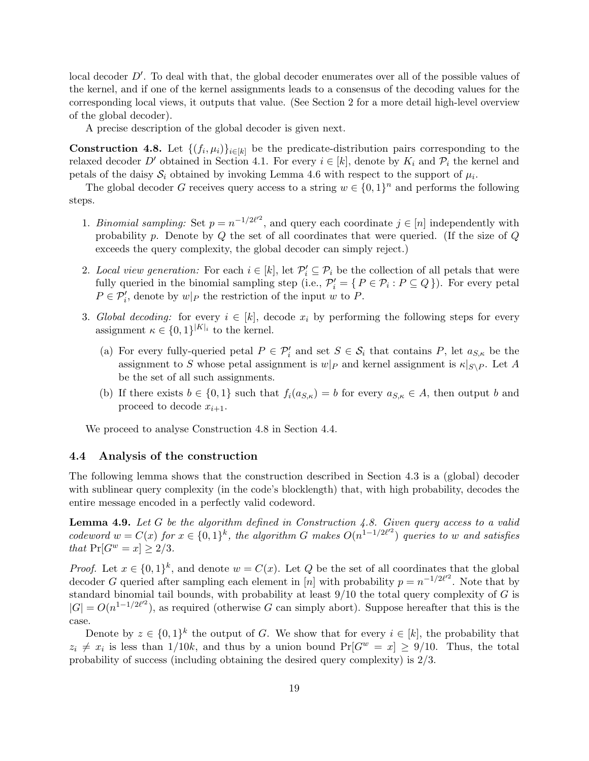local decoder  $D'$ . To deal with that, the global decoder enumerates over all of the possible values of the kernel, and if one of the kernel assignments leads to a consensus of the decoding values for the corresponding local views, it outputs that value. (See Section 2 for a more detail high-level overview of the global decoder).

A precise description of the global decoder is given next.

**Construction 4.8.** Let  $\{(f_i, \mu_i)\}_{i \in [k]}$  be the predicate-distribution pairs corresponding to the relaxed decoder D' obtained in Section 4.1. For every  $i \in [k]$ , denote by  $K_i$  and  $\mathcal{P}_i$  the kernel and petals of the daisy  $S_i$  obtained by invoking Lemma 4.6 with respect to the support of  $\mu_i$ .

The global decoder G receives query access to a string  $w \in \{0,1\}^n$  and performs the following steps.

- 1. Binomial sampling: Set  $p = n^{-1/2\ell^2}$ , and query each coordinate  $j \in [n]$  independently with probability  $p$ . Denote by  $Q$  the set of all coordinates that were queried. (If the size of  $Q$ exceeds the query complexity, the global decoder can simply reject.)
- 2. Local view generation: For each  $i \in [k]$ , let  $\mathcal{P}'_i \subseteq \mathcal{P}_i$  be the collection of all petals that were fully queried in the binomial sampling step (i.e.,  $\mathcal{P}'_i = \{ P \in \mathcal{P}_i : P \subseteq Q \}$ ). For every petal  $P \in \mathcal{P}'_i$ , denote by  $w|_P$  the restriction of the input w to P.
- 3. Global decoding: for every  $i \in [k]$ , decode  $x_i$  by performing the following steps for every assignment  $\kappa \in \{0,1\}^{|K|_i}$  to the kernel.
	- (a) For every fully-queried petal  $P \in \mathcal{P}'_i$  and set  $S \in \mathcal{S}_i$  that contains P, let  $a_{S,\kappa}$  be the assignment to S whose petal assignment is  $w|_P$  and kernel assignment is  $\kappa|_{S\setminus P}$ . Let A be the set of all such assignments.
	- (b) If there exists  $b \in \{0,1\}$  such that  $f_i(a_{S,\kappa}) = b$  for every  $a_{S,\kappa} \in A$ , then output b and proceed to decode  $x_{i+1}$ .

We proceed to analyse Construction 4.8 in Section 4.4.

#### 4.4 Analysis of the construction

The following lemma shows that the construction described in Section 4.3 is a (global) decoder with sublinear query complexity (in the code's blocklength) that, with high probability, decodes the entire message encoded in a perfectly valid codeword.

**Lemma 4.9.** Let  $G$  be the algorithm defined in Construction 4.8. Given query access to a valid codeword  $w = C(x)$  for  $x \in \{0,1\}^k$ , the algorithm G makes  $O(n^{1-1/2\ell'^2})$  queries to w and satisfies that  $Pr[G^w = x] \geq 2/3$ .

*Proof.* Let  $x \in \{0,1\}^k$ , and denote  $w = C(x)$ . Let Q be the set of all coordinates that the global decoder G queried after sampling each element in [n] with probability  $p = n^{-1/2\ell^2}$ . Note that by standard binomial tail bounds, with probability at least  $9/10$  the total query complexity of G is  $|G| = O(n^{1-1/2\ell^2})$ , as required (otherwise G can simply abort). Suppose hereafter that this is the case.

Denote by  $z \in \{0,1\}^k$  the output of G. We show that for every  $i \in [k]$ , the probability that  $z_i \neq x_i$  is less than 1/10k, and thus by a union bound  $Pr[G^w = x] \geq 9/10$ . Thus, the total probability of success (including obtaining the desired query complexity) is 2/3.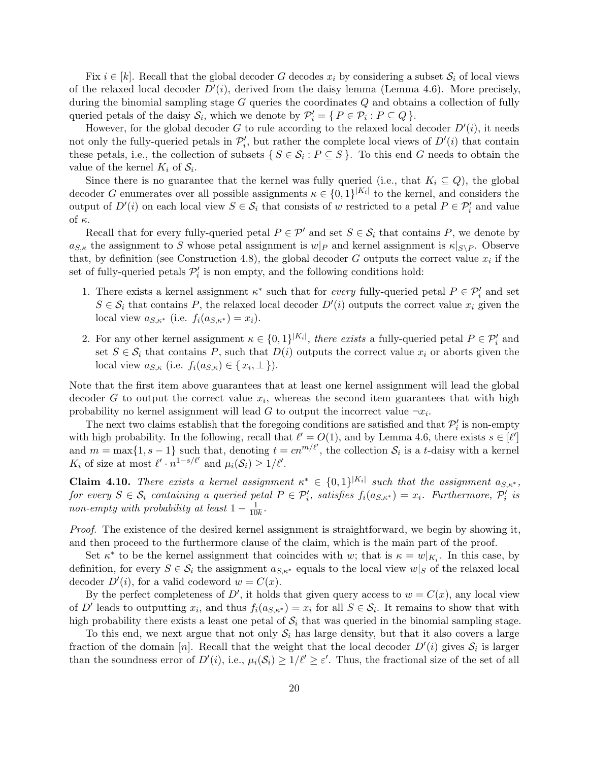Fix  $i \in [k]$ . Recall that the global decoder G decodes  $x_i$  by considering a subset  $S_i$  of local views of the relaxed local decoder  $D'(i)$ , derived from the daisy lemma (Lemma 4.6). More precisely, during the binomial sampling stage  $G$  queries the coordinates  $Q$  and obtains a collection of fully queried petals of the daisy  $S_i$ , which we denote by  $\mathcal{P}'_i = \{ P \in \mathcal{P}_i : P \subseteq Q \}.$ 

However, for the global decoder G to rule according to the relaxed local decoder  $D'(i)$ , it needs not only the fully-queried petals in  $\mathcal{P}'_i$ , but rather the complete local views of  $D'(i)$  that contain these petals, i.e., the collection of subsets  $\{S \in \mathcal{S}_i : P \subseteq S\}$ . To this end G needs to obtain the value of the kernel  $K_i$  of  $S_i$ .

Since there is no guarantee that the kernel was fully queried (i.e., that  $K_i \subseteq Q$ ), the global decoder G enumerates over all possible assignments  $\kappa \in \{0,1\}^{|K_i|}$  to the kernel, and considers the output of  $D'(i)$  on each local view  $S \in \mathcal{S}_i$  that consists of w restricted to a petal  $P \in \mathcal{P}'_i$  and value of κ.

Recall that for every fully-queried petal  $P \in \mathcal{P}'$  and set  $S \in \mathcal{S}_i$  that contains P, we denote by  $a_{S,\kappa}$  the assignment to S whose petal assignment is  $w|_P$  and kernel assignment is  $\kappa|_{S\setminus P}$ . Observe that, by definition (see Construction 4.8), the global decoder G outputs the correct value  $x_i$  if the set of fully-queried petals  $\mathcal{P}'_i$  is non empty, and the following conditions hold:

- 1. There exists a kernel assignment  $\kappa^*$  such that for *every* fully-queried petal  $P \in \mathcal{P}'_i$  and set  $S \in \mathcal{S}_i$  that contains P, the relaxed local decoder  $D'(i)$  outputs the correct value  $x_i$  given the local view  $a_{S,\kappa^*}$  (i.e.  $f_i(a_{S,\kappa^*}) = x_i$ ).
- 2. For any other kernel assignment  $\kappa \in \{0,1\}^{|K_i|}$ , there exists a fully-queried petal  $P \in \mathcal{P}'_i$  and set  $S \in \mathcal{S}_i$  that contains P, such that  $D(i)$  outputs the correct value  $x_i$  or aborts given the local view  $a_{S,\kappa}$  (i.e.  $f_i(a_{S,\kappa}) \in \{x_i, \perp\}$ ).

Note that the first item above guarantees that at least one kernel assignment will lead the global decoder G to output the correct value  $x_i$ , whereas the second item guarantees that with high probability no kernel assignment will lead  $G$  to output the incorrect value  $\neg x_i$ .

The next two claims establish that the foregoing conditions are satisfied and that  $\mathcal{P}'_i$  is non-empty with high probability. In the following, recall that  $\ell' = O(1)$ , and by Lemma 4.6, there exists  $s \in [\ell']$ and  $m = \max\{1, s-1\}$  such that, denoting  $t = cn^{m/\ell'}$ , the collection  $S_i$  is a t-daisy with a kernel  $K_i$  of size at most  $\ell' \cdot n^{1-s/\ell'}$  and  $\mu_i(\mathcal{S}_i) \geq 1/\ell'.$ 

**Claim 4.10.** There exists a kernel assignment  $\kappa^* \in \{0,1\}^{|K_i|}$  such that the assignment  $a_{S,\kappa^*}$ , for every  $S \in \mathcal{S}_i$  containing a queried petal  $P \in \mathcal{P}'_i$ , satisfies  $f_i(a_{S,\kappa^*}) = x_i$ . Furthermore,  $\mathcal{P}'_i$  is non-empty with probability at least  $1-\frac{1}{10}$  $\frac{1}{10k}$ .

Proof. The existence of the desired kernel assignment is straightforward, we begin by showing it, and then proceed to the furthermore clause of the claim, which is the main part of the proof.

Set  $\kappa^*$  to be the kernel assignment that coincides with w; that is  $\kappa = w|_{K_i}$ . In this case, by definition, for every  $S \in \mathcal{S}_i$  the assignment  $a_{S,\kappa^*}$  equals to the local view  $w|_S$  of the relaxed local decoder  $D'(i)$ , for a valid codeword  $w = C(x)$ .

By the perfect completeness of D', it holds that given query access to  $w = C(x)$ , any local view of D' leads to outputting  $x_i$ , and thus  $f_i(a_{S,\kappa^*}) = x_i$  for all  $S \in \mathcal{S}_i$ . It remains to show that with high probability there exists a least one petal of  $S_i$  that was queried in the binomial sampling stage.

To this end, we next argue that not only  $S_i$  has large density, but that it also covers a large fraction of the domain [n]. Recall that the weight that the local decoder  $D'(i)$  gives  $S_i$  is larger than the soundness error of  $D'(i)$ , i.e.,  $\mu_i(\mathcal{S}_i) \geq 1/\ell' \geq \varepsilon'$ . Thus, the fractional size of the set of all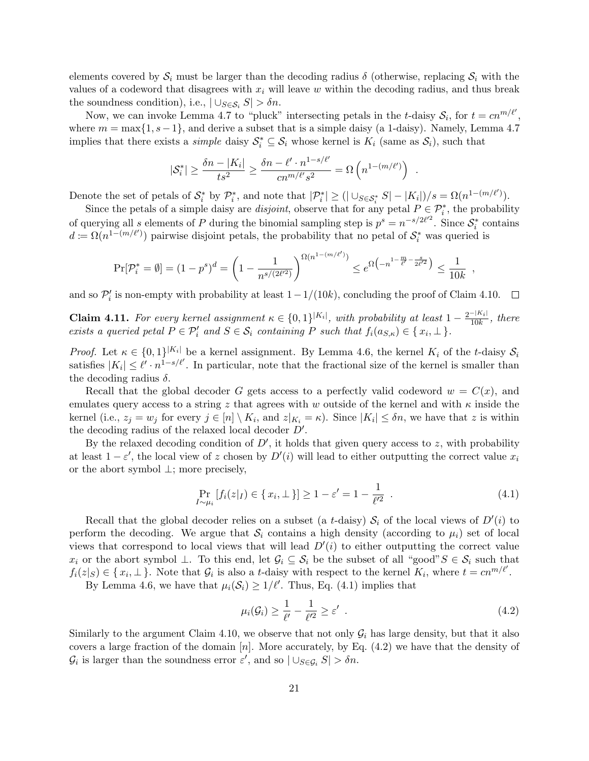elements covered by  $S_i$  must be larger than the decoding radius  $\delta$  (otherwise, replacing  $S_i$  with the values of a codeword that disagrees with  $x_i$  will leave w within the decoding radius, and thus break the soundness condition), i.e.,  $\left| \bigcup_{S \in \mathcal{S}_i} S \right| > \delta n$ .

Now, we can invoke Lemma 4.7 to "pluck" intersecting petals in the t-daisy  $S_i$ , for  $t = cn^{m/\ell'}$ , where  $m = \max\{1, s-1\}$ , and derive a subset that is a simple daisy (a 1-daisy). Namely, Lemma 4.7 implies that there exists a *simple* daisy  $S_i^* \subseteq S_i$  whose kernel is  $K_i$  (same as  $S_i$ ), such that

$$
|\mathcal{S}_i^*| \ge \frac{\delta n - |K_i|}{ts^2} \ge \frac{\delta n - \ell' \cdot n^{1 - s/\ell'}}{cn^{m/\ell'} s^2} = \Omega\left(n^{1 - (m/\ell')}\right)
$$

.

Denote the set of petals of  $S_i^*$  by  $\mathcal{P}_i^*$ , and note that  $|\mathcal{P}_i^*| \geq (|\cup_{S \in S_i^*} S| - |K_i|)/s = \Omega(n^{1-(m/\ell')})$ .

Since the petals of a simple daisy are *disjoint*, observe that for any petal  $P \in \mathcal{P}_i^*$ , the probability of querying all s elements of P during the binomial sampling step is  $p^s = n^{-s/2\ell^2}$ . Since  $\mathcal{S}_i^*$  contains  $d := \Omega(n^{1-(m/\ell')})$  pairwise disjoint petals, the probability that no petal of  $\mathcal{S}_i^*$  was queried is

$$
\Pr[\mathcal{P}_i^* = \emptyset] = (1 - p^s)^d = \left(1 - \frac{1}{n^{s/(2\ell^2)}}\right)^{\Omega(n^{1 - (m/\ell')})} \le e^{\Omega\left(-n^{1 - \frac{m}{\ell'} - \frac{s}{2\ell'^2}}\right)} \le \frac{1}{10k} ,
$$

and so  $\mathcal{P}'_i$  is non-empty with probability at least  $1-1/(10k)$ , concluding the proof of Claim 4.10.

**Claim 4.11.** For every kernel assignment  $\kappa \in \{0,1\}^{|K_i|}$ , with probability at least  $1 - \frac{2^{-|K_i|}}{10k}$  $\frac{1}{10k}$ , there exists a queried petal  $P \in \mathcal{P}'_i$  and  $S \in \mathcal{S}_i$  containing P such that  $f_i(a_{S,\kappa}) \in \{x_i, \perp\}$ .

*Proof.* Let  $\kappa \in \{0,1\}^{|K_i|}$  be a kernel assignment. By Lemma 4.6, the kernel  $K_i$  of the t-daisy  $S_i$ satisfies  $|K_i| \leq \ell' \cdot n^{1-s/\ell'}$ . In particular, note that the fractional size of the kernel is smaller than the decoding radius  $\delta$ .

Recall that the global decoder G gets access to a perfectly valid codeword  $w = C(x)$ , and emulates query access to a string z that agrees with w outside of the kernel and with  $\kappa$  inside the kernel (i.e.,  $z_j = w_j$  for every  $j \in [n] \setminus K_i$ , and  $z|_{K_i} = \kappa$ ). Since  $|K_i| \leq \delta n$ , we have that z is within the decoding radius of the relaxed local decoder  $D'$ .

By the relaxed decoding condition of  $D'$ , it holds that given query access to z, with probability at least  $1 - \varepsilon'$ , the local view of z chosen by  $D'(i)$  will lead to either outputting the correct value  $x_i$ or the abort symbol ⊥; more precisely,

$$
\Pr_{I \sim \mu_i} \left[ f_i(z|_I) \in \{x_i, \perp\} \right] \ge 1 - \varepsilon' = 1 - \frac{1}{\ell'^2} \quad . \tag{4.1}
$$

Recall that the global decoder relies on a subset (a t-daisy)  $S_i$  of the local views of  $D'(i)$  to perform the decoding. We argue that  $S_i$  contains a high density (according to  $\mu_i$ ) set of local views that correspond to local views that will lead  $D'(i)$  to either outputting the correct value  $x_i$  or the abort symbol  $\perp$ . To this end, let  $\mathcal{G}_i \subseteq \mathcal{S}_i$  be the subset of all "good" $S \in \mathcal{S}_i$  such that  $f_i(z|S) \in \{x_i, \perp\}$ . Note that  $\mathcal{G}_i$  is also a t-daisy with respect to the kernel  $K_i$ , where  $t = cn^{m/\ell'}$ .

By Lemma 4.6, we have that  $\mu_i(\mathcal{S}_i) \geq 1/\ell'$ . Thus, Eq. (4.1) implies that

$$
\mu_i(\mathcal{G}_i) \ge \frac{1}{\ell'} - \frac{1}{\ell'^2} \ge \varepsilon' \tag{4.2}
$$

Similarly to the argument Claim 4.10, we observe that not only  $\mathcal{G}_i$  has large density, but that it also covers a large fraction of the domain  $[n]$ . More accurately, by Eq. (4.2) we have that the density of  $\mathcal{G}_i$  is larger than the soundness error  $\varepsilon'$ , and so  $|\cup_{S\in\mathcal{G}_i} S| > \delta n$ .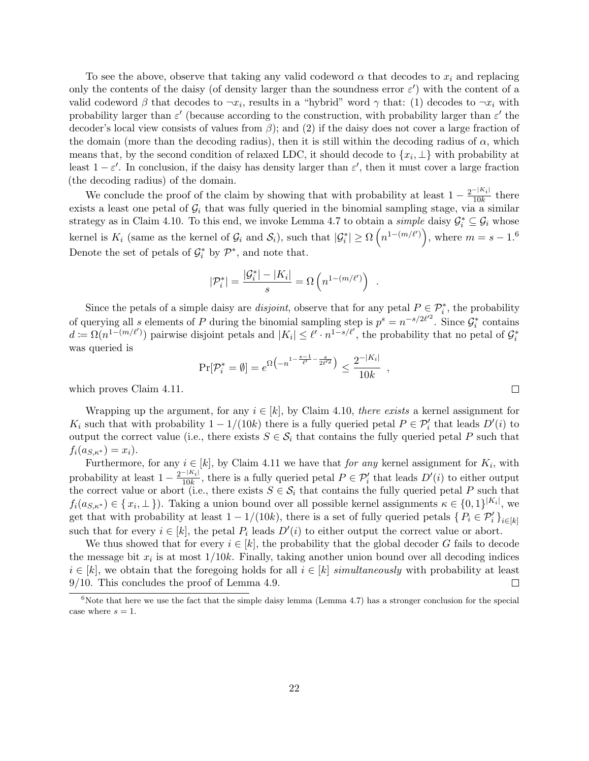To see the above, observe that taking any valid codeword  $\alpha$  that decodes to  $x_i$  and replacing only the contents of the daisy (of density larger than the soundness error  $\varepsilon'$ ) with the content of a valid codeword  $\beta$  that decodes to  $\neg x_i$ , results in a "hybrid" word  $\gamma$  that: (1) decodes to  $\neg x_i$  with probability larger than  $\varepsilon'$  (because according to the construction, with probability larger than  $\varepsilon'$  the decoder's local view consists of values from  $\beta$ ); and (2) if the daisy does not cover a large fraction of the domain (more than the decoding radius), then it is still within the decoding radius of  $\alpha$ , which means that, by the second condition of relaxed LDC, it should decode to  $\{x_i, \perp\}$  with probability at least  $1 - \varepsilon'$ . In conclusion, if the daisy has density larger than  $\varepsilon'$ , then it must cover a large fraction (the decoding radius) of the domain.

We conclude the proof of the claim by showing that with probability at least  $1 - \frac{2^{-|K_i|}}{10k}$  $\frac{-|K_i|}{10k}$  there exists a least one petal of  $G_i$  that was fully queried in the binomial sampling stage, via a similar strategy as in Claim 4.10. To this end, we invoke Lemma 4.7 to obtain a *simple* daisy  $\mathcal{G}_i^* \subseteq \mathcal{G}_i$  whose kernel is  $K_i$  (same as the kernel of  $\mathcal{G}_i$  and  $\mathcal{S}_i$ ), such that  $|\mathcal{G}_i^*| \ge \Omega\left(n^{1-(m/\ell')}\right)$ , where  $m = s - 1.6$ Denote the set of petals of  $\mathcal{G}_i^*$  by  $\mathcal{P}^*$ , and note that.

$$
|\mathcal{P}^*_i| = \frac{|\mathcal{G}^*_i| - |K_i|}{s} = \Omega\left(n^{1-(m/\ell')}\right)
$$

Since the petals of a simple daisy are *disjoint*, observe that for any petal  $P \in \mathcal{P}_i^*$ , the probability of querying all s elements of P during the binomial sampling step is  $p^s = n^{-s/2\ell^2}$ . Since  $\mathcal{G}_i^*$  contains  $d := \Omega(n^{1-(m/\ell)})$  pairwise disjoint petals and  $|K_i| \leq \ell' \cdot n^{1-s/\ell'}$ , the probability that no petal of  $\mathcal{G}_i^*$ was queried is

$$
\Pr[\mathcal{P}_i^* = \emptyset] = e^{\Omega \left( -n^{1 - \frac{s-1}{\ell'} - \frac{s}{2\ell'^2}} \right)} \le \frac{2^{-|K_i|}}{10k} ,
$$

.

which proves Claim 4.11.

Wrapping up the argument, for any  $i \in [k]$ , by Claim 4.10, there exists a kernel assignment for  $K_i$  such that with probability  $1 - 1/(10k)$  there is a fully queried petal  $P \in \mathcal{P}'_i$  that leads  $D'(i)$  to output the correct value (i.e., there exists  $S \in \mathcal{S}_i$  that contains the fully queried petal P such that  $f_i(a_{S,\kappa^*}) = x_i$ .

Furthermore, for any  $i \in [k]$ , by Claim 4.11 we have that *for any* kernel assignment for  $K_i$ , with probability at least  $1 - \frac{2^{-|K_i|}}{10^k}$  $\frac{1}{10k}$ , there is a fully queried petal  $P \in \mathcal{P}'_i$  that leads  $D'(i)$  to either output the correct value or abort (i.e., there exists  $S \in \mathcal{S}_i$  that contains the fully queried petal P such that  $f_i(a_{S,\kappa^*}) \in \{x_i, \perp\}$ ). Taking a union bound over all possible kernel assignments  $\kappa \in \{0,1\}^{|K_i|}$ , we get that with probability at least  $1 - 1/(10k)$ , there is a set of fully queried petals  $\{P_i \in \mathcal{P}'_i\}_{i \in [k]}$ such that for every  $i \in [k]$ , the petal  $P_i$  leads  $D'(i)$  to either output the correct value or abort.

We thus showed that for every  $i \in [k]$ , the probability that the global decoder G fails to decode the message bit  $x_i$  is at most  $1/10k$ . Finally, taking another union bound over all decoding indices  $i \in [k]$ , we obtain that the foregoing holds for all  $i \in [k]$  simultaneously with probability at least 9/10. This concludes the proof of Lemma 4.9.  $\Box$ 

<sup>&</sup>lt;sup>6</sup>Note that here we use the fact that the simple daisy lemma (Lemma 4.7) has a stronger conclusion for the special case where  $s = 1$ .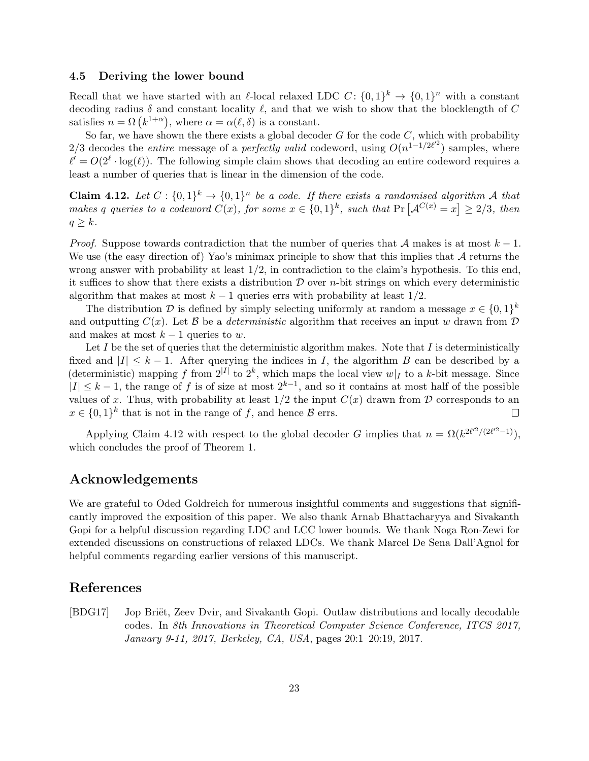### 4.5 Deriving the lower bound

Recall that we have started with an  $\ell$ -local relaxed LDC C:  $\{0,1\}^k \to \{0,1\}^n$  with a constant decoding radius  $\delta$  and constant locality  $\ell$ , and that we wish to show that the blocklength of C satisfies  $n = \Omega(k^{1+\alpha})$ , where  $\alpha = \alpha(\ell, \delta)$  is a constant.

So far, we have shown the there exists a global decoder  $G$  for the code  $C$ , which with probability 2/3 decodes the *entire* message of a *perfectly valid* codeword, using  $O(n^{1-1/2\ell^2})$  samples, where  $\ell' = O(2^{\ell} \cdot \log(\ell))$ . The following simple claim shows that decoding an entire codeword requires a least a number of queries that is linear in the dimension of the code.

**Claim 4.12.** Let  $C: \{0,1\}^k \to \{0,1\}^n$  be a code. If there exists a randomised algorithm A that makes q queries to a codeword  $C(x)$ , for some  $x \in \{0,1\}^k$ , such that  $Pr[\mathcal{A}^{C(x)} = x] \geq 2/3$ , then  $q \geq k$ .

*Proof.* Suppose towards contradiction that the number of queries that A makes is at most  $k-1$ . We use (the easy direction of) Yao's minimax principle to show that this implies that  $\mathcal A$  returns the wrong answer with probability at least  $1/2$ , in contradiction to the claim's hypothesis. To this end, it suffices to show that there exists a distribution  $\mathcal D$  over *n*-bit strings on which every deterministic algorithm that makes at most  $k - 1$  queries errs with probability at least  $1/2$ .

The distribution D is defined by simply selecting uniformly at random a message  $x \in \{0,1\}^k$ and outputting  $C(x)$ . Let B be a *deterministic* algorithm that receives an input w drawn from D and makes at most  $k-1$  queries to w.

Let  $I$  be the set of queries that the deterministic algorithm makes. Note that  $I$  is deterministically fixed and  $|I| \leq k - 1$ . After querying the indices in I, the algorithm B can be described by a (deterministic) mapping f from  $2^{|I|}$  to  $2^k$ , which maps the local view  $w|_I$  to a k-bit message. Since  $|I| \leq k-1$ , the range of f is of size at most  $2^{k-1}$ , and so it contains at most half of the possible values of x. Thus, with probability at least  $1/2$  the input  $C(x)$  drawn from  $D$  corresponds to an  $x \in \{0,1\}^k$  that is not in the range of f, and hence  $\mathcal{B}$  errs.  $\Box$ 

Applying Claim 4.12 with respect to the global decoder G implies that  $n = \Omega(k^{2\ell^2/(2\ell^2-1)})$ , which concludes the proof of Theorem 1.

# Acknowledgements

We are grateful to Oded Goldreich for numerous insightful comments and suggestions that significantly improved the exposition of this paper. We also thank Arnab Bhattacharyya and Sivakanth Gopi for a helpful discussion regarding LDC and LCC lower bounds. We thank Noga Ron-Zewi for extended discussions on constructions of relaxed LDCs. We thank Marcel De Sena Dall'Agnol for helpful comments regarding earlier versions of this manuscript.

# References

[BDG17] Jop Briët, Zeev Dvir, and Sivakanth Gopi. Outlaw distributions and locally decodable codes. In 8th Innovations in Theoretical Computer Science Conference, ITCS 2017, January 9-11, 2017, Berkeley, CA, USA, pages 20:1–20:19, 2017.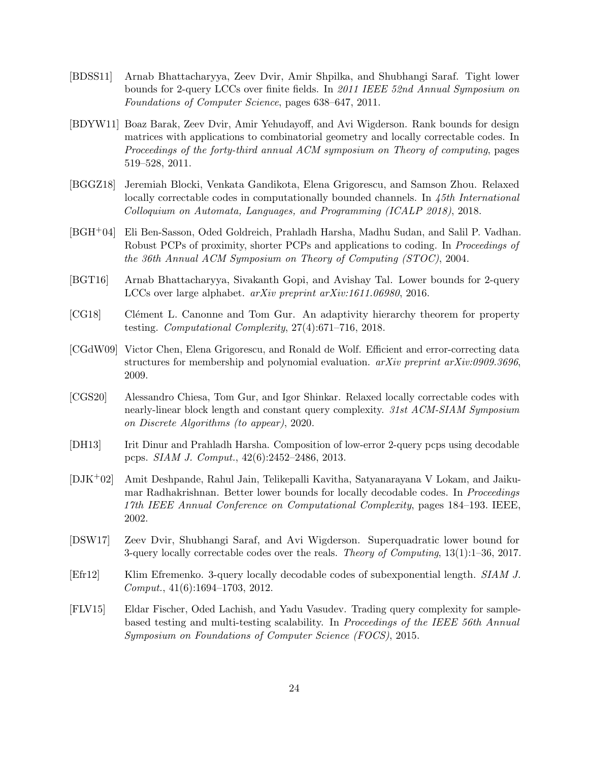- [BDSS11] Arnab Bhattacharyya, Zeev Dvir, Amir Shpilka, and Shubhangi Saraf. Tight lower bounds for 2-query LCCs over finite fields. In 2011 IEEE 52nd Annual Symposium on Foundations of Computer Science, pages 638–647, 2011.
- [BDYW11] Boaz Barak, Zeev Dvir, Amir Yehudayoff, and Avi Wigderson. Rank bounds for design matrices with applications to combinatorial geometry and locally correctable codes. In Proceedings of the forty-third annual ACM symposium on Theory of computing, pages 519–528, 2011.
- [BGGZ18] Jeremiah Blocki, Venkata Gandikota, Elena Grigorescu, and Samson Zhou. Relaxed locally correctable codes in computationally bounded channels. In 45th International Colloquium on Automata, Languages, and Programming (ICALP 2018), 2018.
- [BGH+04] Eli Ben-Sasson, Oded Goldreich, Prahladh Harsha, Madhu Sudan, and Salil P. Vadhan. Robust PCPs of proximity, shorter PCPs and applications to coding. In Proceedings of the 36th Annual ACM Symposium on Theory of Computing (STOC), 2004.
- [BGT16] Arnab Bhattacharyya, Sivakanth Gopi, and Avishay Tal. Lower bounds for 2-query LCCs over large alphabet. arXiv preprint arXiv:1611.06980, 2016.
- [CG18] Clément L. Canonne and Tom Gur. An adaptivity hierarchy theorem for property testing. Computational Complexity, 27(4):671–716, 2018.
- [CGdW09] Victor Chen, Elena Grigorescu, and Ronald de Wolf. Efficient and error-correcting data structures for membership and polynomial evaluation.  $arXiv$  preprint  $arXiv:0909.3696$ , 2009.
- [CGS20] Alessandro Chiesa, Tom Gur, and Igor Shinkar. Relaxed locally correctable codes with nearly-linear block length and constant query complexity. 31st ACM-SIAM Symposium on Discrete Algorithms (to appear), 2020.
- [DH13] Irit Dinur and Prahladh Harsha. Composition of low-error 2-query pcps using decodable pcps. SIAM J. Comput., 42(6):2452–2486, 2013.
- [DJK+02] Amit Deshpande, Rahul Jain, Telikepalli Kavitha, Satyanarayana V Lokam, and Jaikumar Radhakrishnan. Better lower bounds for locally decodable codes. In Proceedings 17th IEEE Annual Conference on Computational Complexity, pages 184–193. IEEE, 2002.
- [DSW17] Zeev Dvir, Shubhangi Saraf, and Avi Wigderson. Superquadratic lower bound for 3-query locally correctable codes over the reals. Theory of Computing, 13(1):1–36, 2017.
- [Efr12] Klim Efremenko. 3-query locally decodable codes of subexponential length. SIAM J. Comput., 41(6):1694–1703, 2012.
- [FLV15] Eldar Fischer, Oded Lachish, and Yadu Vasudev. Trading query complexity for samplebased testing and multi-testing scalability. In Proceedings of the IEEE 56th Annual Symposium on Foundations of Computer Science (FOCS), 2015.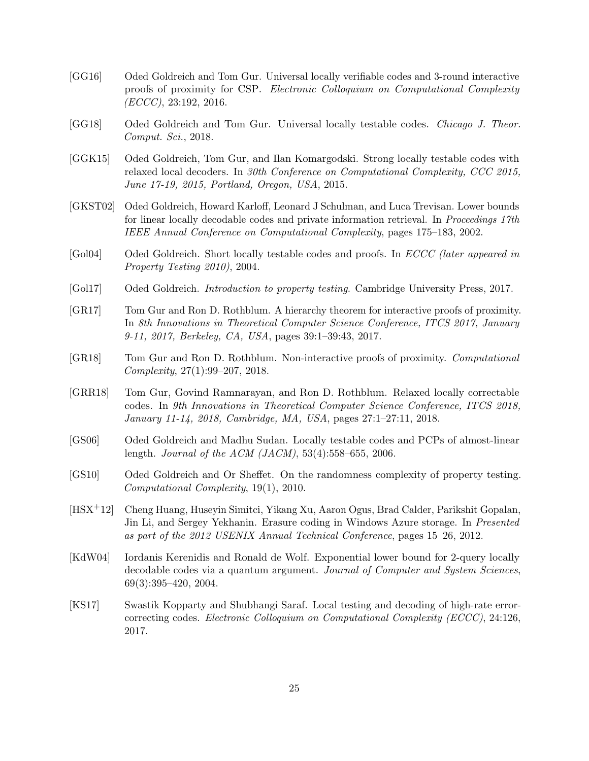- [GG16] Oded Goldreich and Tom Gur. Universal locally verifiable codes and 3-round interactive proofs of proximity for CSP. Electronic Colloquium on Computational Complexity  $(ECCC), 23:192, 2016.$
- [GG18] Oded Goldreich and Tom Gur. Universal locally testable codes. Chicago J. Theor. Comput. Sci., 2018.
- [GGK15] Oded Goldreich, Tom Gur, and Ilan Komargodski. Strong locally testable codes with relaxed local decoders. In 30th Conference on Computational Complexity, CCC 2015, June 17-19, 2015, Portland, Oregon, USA, 2015.
- [GKST02] Oded Goldreich, Howard Karloff, Leonard J Schulman, and Luca Trevisan. Lower bounds for linear locally decodable codes and private information retrieval. In *Proceedings 17th* IEEE Annual Conference on Computational Complexity, pages 175–183, 2002.
- [Gol04] Oded Goldreich. Short locally testable codes and proofs. In *ECCC* (later appeared in Property Testing 2010), 2004.
- [Gol17] Oded Goldreich. Introduction to property testing. Cambridge University Press, 2017.
- [GR17] Tom Gur and Ron D. Rothblum. A hierarchy theorem for interactive proofs of proximity. In 8th Innovations in Theoretical Computer Science Conference, ITCS 2017, January 9-11, 2017, Berkeley, CA, USA, pages 39:1–39:43, 2017.
- [GR18] Tom Gur and Ron D. Rothblum. Non-interactive proofs of proximity. Computational Complexity, 27(1):99–207, 2018.
- [GRR18] Tom Gur, Govind Ramnarayan, and Ron D. Rothblum. Relaxed locally correctable codes. In 9th Innovations in Theoretical Computer Science Conference, ITCS 2018, January 11-14, 2018, Cambridge, MA, USA, pages 27:1–27:11, 2018.
- [GS06] Oded Goldreich and Madhu Sudan. Locally testable codes and PCPs of almost-linear length. Journal of the ACM (JACM), 53(4):558–655, 2006.
- [GS10] Oded Goldreich and Or Sheffet. On the randomness complexity of property testing. Computational Complexity, 19(1), 2010.
- [HSX+12] Cheng Huang, Huseyin Simitci, Yikang Xu, Aaron Ogus, Brad Calder, Parikshit Gopalan, Jin Li, and Sergey Yekhanin. Erasure coding in Windows Azure storage. In Presented as part of the 2012 USENIX Annual Technical Conference, pages 15–26, 2012.
- [KdW04] Iordanis Kerenidis and Ronald de Wolf. Exponential lower bound for 2-query locally decodable codes via a quantum argument. Journal of Computer and System Sciences, 69(3):395–420, 2004.
- [KS17] Swastik Kopparty and Shubhangi Saraf. Local testing and decoding of high-rate errorcorrecting codes. Electronic Colloquium on Computational Complexity (ECCC), 24:126, 2017.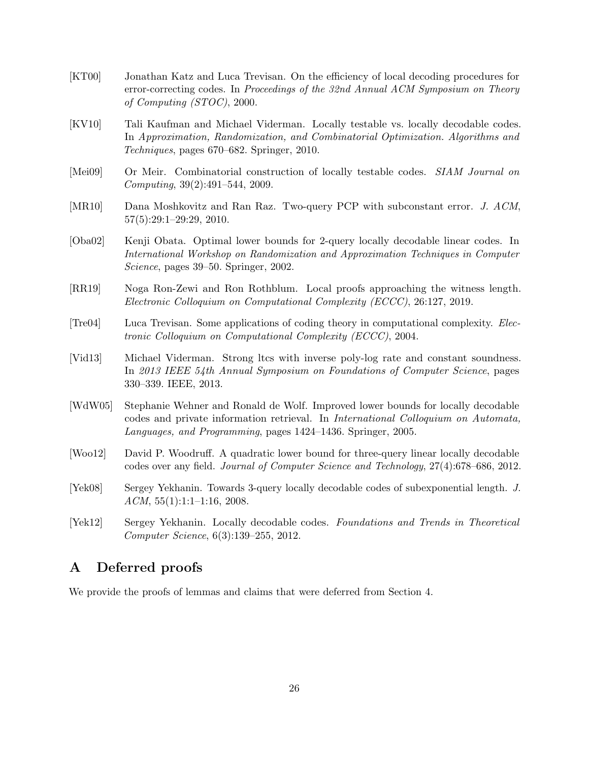- [KT00] Jonathan Katz and Luca Trevisan. On the efficiency of local decoding procedures for error-correcting codes. In Proceedings of the 32nd Annual ACM Symposium on Theory of Computing (STOC), 2000.
- [KV10] Tali Kaufman and Michael Viderman. Locally testable vs. locally decodable codes. In Approximation, Randomization, and Combinatorial Optimization. Algorithms and Techniques, pages 670–682. Springer, 2010.
- [Mei09] Or Meir. Combinatorial construction of locally testable codes. SIAM Journal on Computing, 39(2):491–544, 2009.
- [MR10] Dana Moshkovitz and Ran Raz. Two-query PCP with subconstant error. J. ACM, 57(5):29:1–29:29, 2010.
- [Oba02] Kenji Obata. Optimal lower bounds for 2-query locally decodable linear codes. In International Workshop on Randomization and Approximation Techniques in Computer Science, pages 39–50. Springer, 2002.
- [RR19] Noga Ron-Zewi and Ron Rothblum. Local proofs approaching the witness length. Electronic Colloquium on Computational Complexity (ECCC), 26:127, 2019.
- [Tre04] Luca Trevisan. Some applications of coding theory in computational complexity. Electronic Colloquium on Computational Complexity (ECCC), 2004.
- [Vid13] Michael Viderman. Strong ltcs with inverse poly-log rate and constant soundness. In 2013 IEEE 54th Annual Symposium on Foundations of Computer Science, pages 330–339. IEEE, 2013.
- [WdW05] Stephanie Wehner and Ronald de Wolf. Improved lower bounds for locally decodable codes and private information retrieval. In International Colloquium on Automata, Languages, and Programming, pages 1424–1436. Springer, 2005.
- [Woo12] David P. Woodruff. A quadratic lower bound for three-query linear locally decodable codes over any field. Journal of Computer Science and Technology, 27(4):678–686, 2012.
- [Yek08] Sergey Yekhanin. Towards 3-query locally decodable codes of subexponential length. J.  $ACM$ ,  $55(1):1:1-1:16$ ,  $2008$ .
- [Yek12] Sergey Yekhanin. Locally decodable codes. Foundations and Trends in Theoretical Computer Science, 6(3):139–255, 2012.

# A Deferred proofs

We provide the proofs of lemmas and claims that were deferred from Section 4.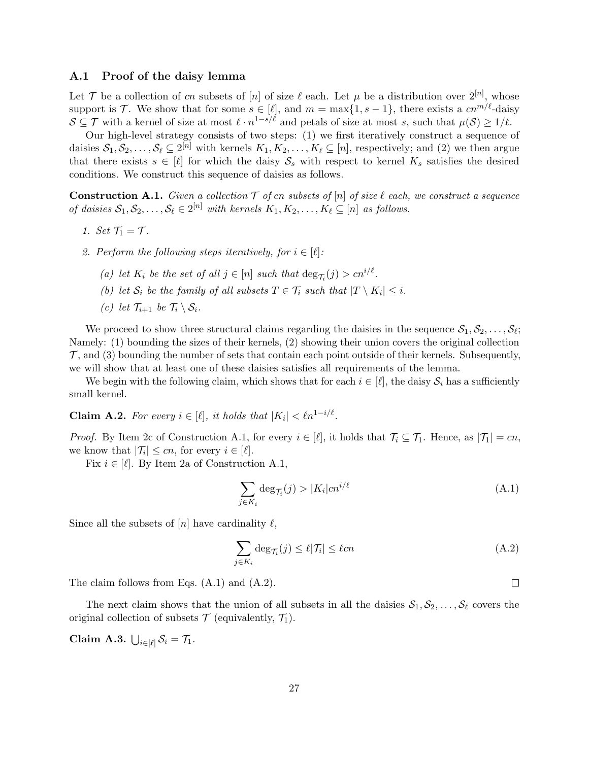# A.1 Proof of the daisy lemma

Let T be a collection of cn subsets of [n] of size  $\ell$  each. Let  $\mu$  be a distribution over  $2^{[n]}$ , whose support is T. We show that for some  $s \in [\ell]$ , and  $m = \max\{1, s - 1\}$ , there exists a  $cn^{m/\ell}$ -daisy  $S \subseteq \mathcal{T}$  with a kernel of size at most  $\ell \cdot n^{1-s/\ell}$  and petals of size at most s, such that  $\mu(\mathcal{S}) \geq 1/\ell$ .

Our high-level strategy consists of two steps: (1) we first iteratively construct a sequence of daisies  $S_1, S_2, \ldots, S_\ell \subseteq 2^{[n]}$  with kernels  $K_1, K_2, \ldots, K_\ell \subseteq [n]$ , respectively; and (2) we then argue that there exists  $s \in [\ell]$  for which the daisy  $S_s$  with respect to kernel  $K_s$  satisfies the desired conditions. We construct this sequence of daisies as follows.

**Construction A.1.** Given a collection  $T$  of cn subsets of  $[n]$  of size  $\ell$  each, we construct a sequence of daisies  $S_1, S_2, \ldots, S_\ell \in 2^{[n]}$  with kernels  $K_1, K_2, \ldots, K_\ell \subseteq [n]$  as follows.

- 1. Set  $\mathcal{T}_1 = \mathcal{T}$ .
- 2. Perform the following steps iteratively, for  $i \in [\ell]:$ 
	- (a) let  $K_i$  be the set of all  $j \in [n]$  such that  $\deg_{\mathcal{T}_i}(j) > cn^{i/\ell}$ .
	- (b) let  $S_i$  be the family of all subsets  $T \in \mathcal{T}_i$  such that  $|T \setminus K_i| \leq i$ .
	- (c) let  $\mathcal{T}_{i+1}$  be  $\mathcal{T}_i \setminus \mathcal{S}_i$ .

We proceed to show three structural claims regarding the daisies in the sequence  $S_1, S_2, \ldots, S_\ell;$ Namely: (1) bounding the sizes of their kernels, (2) showing their union covers the original collection  $\mathcal{T}$ , and (3) bounding the number of sets that contain each point outside of their kernels. Subsequently, we will show that at least one of these daisies satisfies all requirements of the lemma.

We begin with the following claim, which shows that for each  $i \in [\ell]$ , the daisy  $S_i$  has a sufficiently small kernel.

**Claim A.2.** For every  $i \in [\ell],$  it holds that  $|K_i| < \ell n^{1-i/\ell}$ .

*Proof.* By Item 2c of Construction A.1, for every  $i \in [\ell]$ , it holds that  $\mathcal{T}_i \subseteq \mathcal{T}_1$ . Hence, as  $|\mathcal{T}_1| = cn$ , we know that  $|\mathcal{T}_i| \leq cn$ , for every  $i \in [\ell]$ .

Fix  $i \in [\ell]$ . By Item 2a of Construction A.1,

$$
\sum_{j \in K_i} \deg_{\mathcal{T}_i}(j) > |K_i| \operatorname{cn}^{i/\ell} \tag{A.1}
$$

Since all the subsets of  $[n]$  have cardinality  $\ell$ ,

$$
\sum_{j \in K_i} \deg_{\mathcal{T}_i}(j) \le \ell |\mathcal{T}_i| \le \ell cn \tag{A.2}
$$

The claim follows from Eqs. (A.1) and (A.2).

The next claim shows that the union of all subsets in all the daisies  $S_1, S_2, \ldots, S_\ell$  covers the original collection of subsets  $\mathcal T$  (equivalently,  $\mathcal T_1$ ).

Claim A.3.  $\bigcup_{i \in [\ell]} \mathcal{S}_i = \mathcal{T}_1$ .

 $\Box$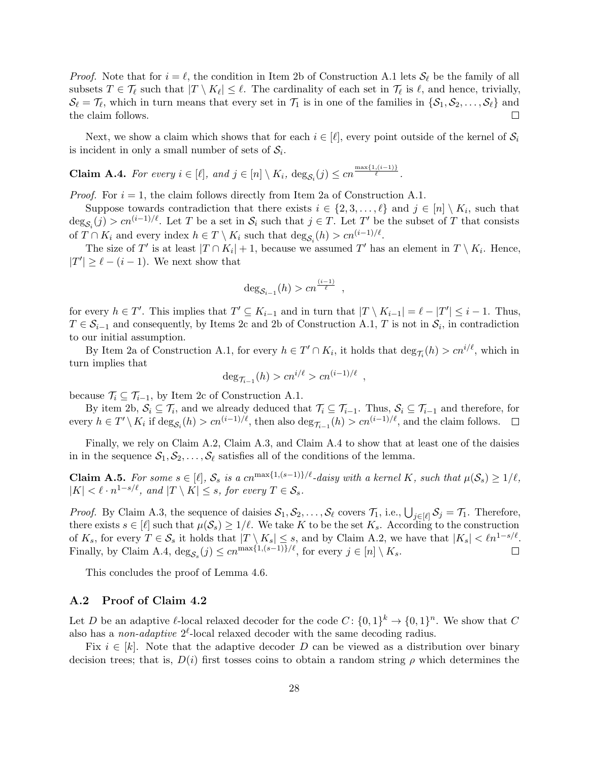*Proof.* Note that for  $i = \ell$ , the condition in Item 2b of Construction A.1 lets  $S_{\ell}$  be the family of all subsets  $T \in \mathcal{T}_{\ell}$  such that  $|T \setminus K_{\ell}| \leq \ell$ . The cardinality of each set in  $\mathcal{T}_{\ell}$  is  $\ell$ , and hence, trivially,  $\mathcal{S}_{\ell} = \mathcal{T}_{\ell}$ , which in turn means that every set in  $\mathcal{T}_1$  is in one of the families in  $\{\mathcal{S}_1, \mathcal{S}_2, \ldots, \mathcal{S}_{\ell}\}\$  and the claim follows.  $\Box$ 

Next, we show a claim which shows that for each  $i \in [\ell]$ , every point outside of the kernel of  $S_i$ is incident in only a small number of sets of  $S_i$ .

**Claim A.4.** For every 
$$
i \in [\ell]
$$
, and  $j \in [n] \setminus K_i$ ,  $deg_{\mathcal{S}_i}(j) \leq cn^{\frac{\max\{1, (i-1)\}}{\ell}}$ .

*Proof.* For  $i = 1$ , the claim follows directly from Item 2a of Construction A.1.

Suppose towards contradiction that there exists  $i \in \{2, 3, \ldots, \ell\}$  and  $j \in [n] \setminus K_i$ , such that  $\deg_{\mathcal{S}_i}(j) > cn^{(i-1)/\ell}$ . Let T be a set in  $\mathcal{S}_i$  such that  $j \in T$ . Let T' be the subset of T that consists of  $T \cap K_i$  and every index  $h \in T \setminus K_i$  such that  $\deg_{\mathcal{S}_i}(h) > cn^{(i-1)/\ell}$ .

The size of T' is at least  $|T \cap K_i| + 1$ , because we assumed T' has an element in  $T \setminus K_i$ . Hence,  $|T'| \geq \ell - (i - 1)$ . We next show that

$$
\deg_{\mathcal{S}_{i-1}}(h) > cn^{\frac{(i-1)}{\ell}},
$$

for every  $h \in T'$ . This implies that  $T' \subseteq K_{i-1}$  and in turn that  $|T \setminus K_{i-1}| = \ell - |T'| \leq i-1$ . Thus,  $T \in \mathcal{S}_{i-1}$  and consequently, by Items 2c and 2b of Construction A.1, T is not in  $\mathcal{S}_i$ , in contradiction to our initial assumption.

By Item 2a of Construction A.1, for every  $h \in T' \cap K_i$ , it holds that  $\deg_{\mathcal{T}_i}(h) > c n^{i/\ell}$ , which in turn implies that

$$
\deg_{\mathcal{T}_{i-1}}(h) > cn^{i/\ell} > cn^{(i-1)/\ell}
$$

,

because  $\mathcal{T}_i \subseteq \mathcal{T}_{i-1}$ , by Item 2c of Construction A.1.

By item 2b,  $S_i \subseteq \mathcal{T}_i$ , and we already deduced that  $\mathcal{T}_i \subseteq \mathcal{T}_{i-1}$ . Thus,  $S_i \subseteq \mathcal{T}_{i-1}$  and therefore, for every  $h \in T' \setminus K_i$  if  $\deg_{\mathcal{S}_i}(h) > cn^{(i-1)/\ell}$ , then also  $\deg_{\mathcal{T}_{i-1}}(h) > cn^{(i-1)/\ell}$ , and the claim follows.

Finally, we rely on Claim A.2, Claim A.3, and Claim A.4 to show that at least one of the daisies in in the sequence  $S_1, S_2, \ldots, S_\ell$  satisfies all of the conditions of the lemma.

**Claim A.5.** For some  $s \in [\ell], \mathcal{S}_s$  is a cn<sup>max{1,(s-1)}/ $\ell$ -daisy with a kernel K, such that  $\mu(\mathcal{S}_s) \geq 1/\ell$ ,</sup>  $|K| < \ell \cdot n^{1-s/\ell}$ , and  $|T \setminus K| \leq s$ , for every  $T \in \mathcal{S}_s$ .

*Proof.* By Claim A.3, the sequence of daisies  $S_1, S_2, \ldots, S_\ell$  covers  $\mathcal{T}_1$ , i.e.,  $\bigcup_{j \in [\ell]} S_j = \mathcal{T}_1$ . Therefore, there exists  $s \in [\ell]$  such that  $\mu(\mathcal{S}_s) \geq 1/\ell$ . We take K to be the set  $K_s$ . According to the construction of  $K_s$ , for every  $T \in \mathcal{S}_s$  it holds that  $|T \setminus K_s| \leq s$ , and by Claim A.2, we have that  $|K_s| < \ell n^{1-s/\ell}$ . Finally, by Claim A.4,  $\deg_{\mathcal{S}_s}(j) \leq cn^{\max\{1,(s-1)\}/\ell}$ , for every  $j \in [n] \setminus K_s$ .

This concludes the proof of Lemma 4.6.

#### A.2 Proof of Claim 4.2

Let D be an adaptive  $\ell$ -local relaxed decoder for the code  $C: \{0,1\}^k \to \{0,1\}^n$ . We show that C also has a *non-adaptive*  $2^{\ell}$ -local relaxed decoder with the same decoding radius.

Fix  $i \in [k]$ . Note that the adaptive decoder D can be viewed as a distribution over binary decision trees; that is,  $D(i)$  first tosses coins to obtain a random string  $\rho$  which determines the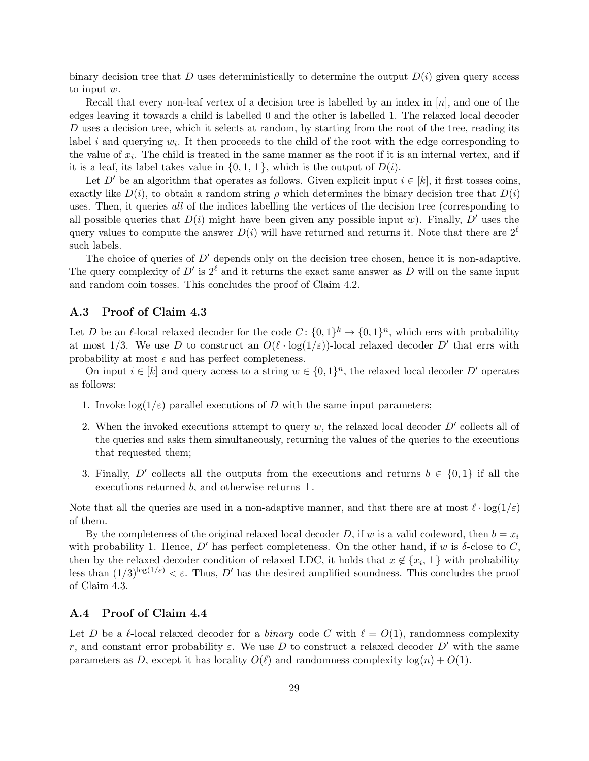binary decision tree that D uses deterministically to determine the output  $D(i)$  given query access to input w.

Recall that every non-leaf vertex of a decision tree is labelled by an index in  $[n]$ , and one of the edges leaving it towards a child is labelled 0 and the other is labelled 1. The relaxed local decoder D uses a decision tree, which it selects at random, by starting from the root of the tree, reading its label i and querying  $w_i$ . It then proceeds to the child of the root with the edge corresponding to the value of  $x_i$ . The child is treated in the same manner as the root if it is an internal vertex, and if it is a leaf, its label takes value in  $\{0, 1, \perp\}$ , which is the output of  $D(i)$ .

Let D' be an algorithm that operates as follows. Given explicit input  $i \in [k]$ , it first tosses coins, exactly like  $D(i)$ , to obtain a random string  $\rho$  which determines the binary decision tree that  $D(i)$ uses. Then, it queries all of the indices labelling the vertices of the decision tree (corresponding to all possible queries that  $D(i)$  might have been given any possible input w). Finally, D' uses the query values to compute the answer  $D(i)$  will have returned and returns it. Note that there are  $2^{\ell}$ such labels.

The choice of queries of  $D'$  depends only on the decision tree chosen, hence it is non-adaptive. The query complexity of  $D'$  is  $2^{\ell}$  and it returns the exact same answer as D will on the same input and random coin tosses. This concludes the proof of Claim 4.2.

# A.3 Proof of Claim 4.3

Let D be an  $\ell$ -local relaxed decoder for the code  $C: \{0,1\}^k \to \{0,1\}^n$ , which errs with probability at most 1/3. We use D to construct an  $O(\ell \cdot \log(1/\varepsilon))$ -local relaxed decoder D' that errs with probability at most  $\epsilon$  and has perfect completeness.

On input  $i \in [k]$  and query access to a string  $w \in \{0,1\}^n$ , the relaxed local decoder D' operates as follows:

- 1. Invoke  $\log(1/\varepsilon)$  parallel executions of D with the same input parameters;
- 2. When the invoked executions attempt to query  $w$ , the relaxed local decoder  $D'$  collects all of the queries and asks them simultaneously, returning the values of the queries to the executions that requested them;
- 3. Finally, D' collects all the outputs from the executions and returns  $b \in \{0,1\}$  if all the executions returned b, and otherwise returns  $\perp$ .

Note that all the queries are used in a non-adaptive manner, and that there are at most  $\ell \cdot \log(1/\varepsilon)$ of them.

By the completeness of the original relaxed local decoder D, if w is a valid codeword, then  $b = x_i$ with probability 1. Hence, D' has perfect completeness. On the other hand, if w is  $\delta$ -close to C, then by the relaxed decoder condition of relaxed LDC, it holds that  $x \notin \{x_i, \perp\}$  with probability less than  $(1/3)^{\log(1/\varepsilon)} < \varepsilon$ . Thus, D' has the desired amplified soundness. This concludes the proof of Claim 4.3.

# A.4 Proof of Claim 4.4

Let D be a l-local relaxed decoder for a binary code C with  $\ell = O(1)$ , randomness complexity r, and constant error probability  $\varepsilon$ . We use D to construct a relaxed decoder D' with the same parameters as D, except it has locality  $O(\ell)$  and randomness complexity  $\log(n) + O(1)$ .